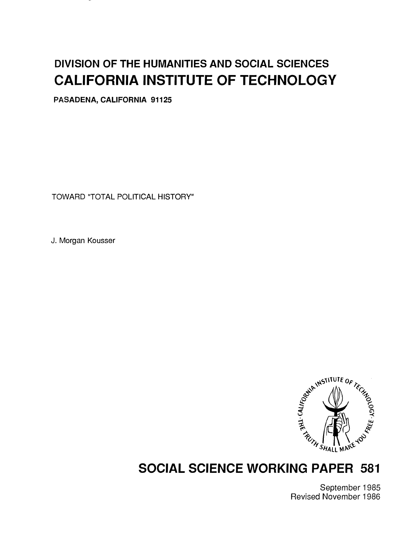# DIVISION OF THE HUMANITIES AND SOCIAL SCIENCES CALIFORNIA INSTITUTE OF TECHNOLOGY

PASADENA, CALIFORNIA 91125

TOWARD "TOTAL POLITICAL HISTORY"

J. Morgan Kousser



# SOCIAL SCIENCE WORKING PAPER 581

September 1985 Revised November 1986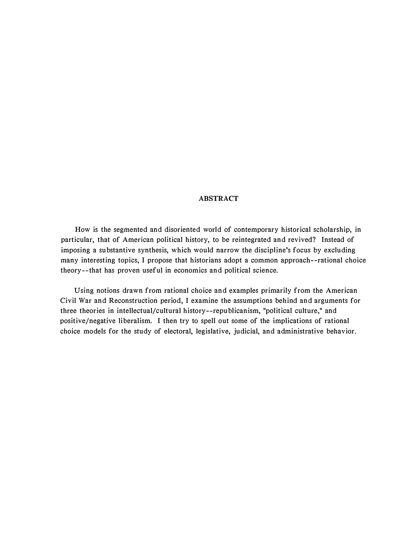### ABSTRACT

How is the segmented and disoriented world of contemporary historical scholarship, in particular, that of American political history, to be reintegrated and revived? Instead of imposing a substantive synthesis, which would narrow the discipline's focus by excluding many interesting topics, I propose that historians adopt a common approach--rational choice theory--that has proven useful in economics and political science.

Using notions drawn from rational choice and examples primarily from the American Civil War and Reconstruction period, I examine the assumptions behind and arguments for three theories in intellectual/cultural history--republicanism, "political culture," and positive/negative liberalism. I then try to spell out some of the implications of rational choice models for the study of electoral, legislative, judicial, and administrative behavior.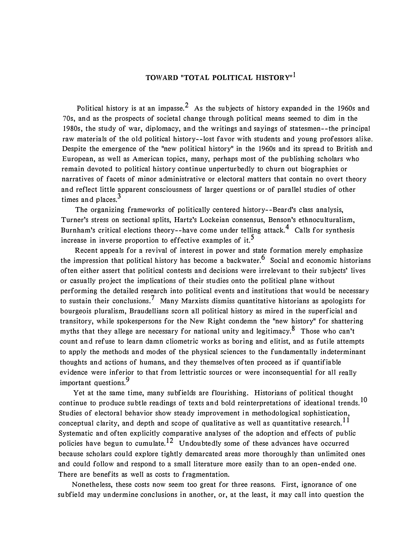# TOWARD "TOTAL POLITICAL HISTORY"<sup>1</sup>

Political history is at an impasse.<sup>2</sup> As the subjects of history expanded in the 1960s and 70s, and as the prospects of societal change through political means seemed to dim in the 1 980s, the study of war, diplomacy, and the writings and sayings of statesmen--the principal raw materials of the old political history--lost favor with students and young professors alike. Despite the emergence of the "new political history" in the 1960s and its spread to British and European, as well as American topics, many, perhaps most of the publishing scholars who remain devoted to political history continue unperturbedly to churn out biographies or narratives of facets of minor administrative or electoral matters that contain no overt theory and reflect little apparent consciousness of larger questions or of parallel studies of other times and places. $3$ 

The organizing frameworks of politically centered history- -Beard's class analysis, Turner's stress on sectional splits, Hartz's Lockeian consensus, Benson's ethnoculturalism, Burnham's critical elections theory--have come under telling attack.<sup>4</sup> Calls for synthesis increase in inverse proportion to effective examples of it.<sup>5</sup>

Recent appeals for a revival of interest in power and state formation merely emphasize the impression that political history has become a backwater.<sup>6</sup> Social and economic historians often either assert that political contests and decisions were irrelevant to their subjects' lives or casually project the implications of their studies onto the political plane without performing the detailed research into political events and institutions that would be necessary to sustain their conclusions.<sup>7</sup> Many Marxists dismiss quantitative historians as apologists for bourgeois pluralism, Braudellians scorn all political history as mired in the superficial and transitory, while spokespersons for the New Right condemn the "new history" for shattering myths that they allege are necessary for national unity and legitimacy.<sup>8</sup> Those who can't count and refuse to learn damn cliometric works as boring and elitist, and as futile attempts to apply the methods and modes of the physical sciences to the fundamentally indeterminant thoughts and actions of humans, and they themselves often proceed as if quantifiable evidence were inferior to that from lettristic sources or were inconsequential for all really important questions.<sup>9</sup>

Yet at the same time, many subfields are flourishing. Historians of political thought continue to produce subtle readings of texts and bold reinterpretations of ideational trends.<sup>10</sup> Studies of electoral behavior show steady improvement in methodological sophistication, conceptual clarity, and depth and scope of qualitative as well as quantitative research.<sup>11</sup> Systematic and often explicitly comparative analyses of the adoption and effects of public policies have begun to cumulate.<sup>12</sup> Undoubtedly some of these advances have occurred because scholars could explore tightly demarcated areas more thoroughly than unlimited ones and could follow and respond to a small literature more easily than to an open-ended one. There are benefits as well as costs to fragmentation.

Nonetheless, these costs now seem too great for three reasons. First, ignorance of one subfield may undermine conclusions in another, or, at the least, it may call into question the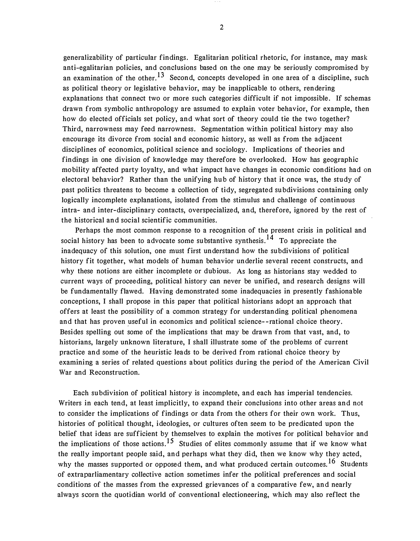generalizability of particular findings. Egalitarian political rhetoric, for instance, may mask anti-egalitarian policies, and conclusions based on the one may be seriously compromised by an examination of the other.<sup>13</sup> Second, concepts developed in one area of a discipline, such as political theory or legislative behavior, may be inapplicable to others, rendering explanations that connect two or more such categories difficult if not impossible. If schemas drawn from symbolic anthropology are assumed to explain voter behavior, for example, then how do elected officials set policy, and what sort of theory could tie the two together? Third, narrowness may feed narrowness. Segmentation within political history may also encourage its divorce from social and economic history, as well as from the adjacent disciplines of economics, political science and sociology. Implications of theories and findings in one division of knowledge may therefore be overlooked. How has geographic mobility affected party loyalty, and what impact have changes in economic conditions had on electoral behavior? Rather than the unifying hub of history that it once was, the study of past politics threatens to become a collection of tidy, segregated subdivisions containing only logically incomplete explanations, isolated from the stimulus and challenge of continuous intra- and inter-disciplinary contacts, overspecialized, and, therefore, ignored by the rest of the historical and social scientific communities.

Perhaps the most common response to a recognition of the present crisis in political and social history has been to advocate some substantive synthesis.<sup>14</sup> To appreciate the inadequacy of this solution, one must first understand how the subdivisions of political history fit together, what models of human behavior underlie several recent constructs, and why these notions are either incomplete or dubious. As long as historians stay wedded to current ways of proceeding, political history can never be unified, and research designs will be fundamentally flawed. Having demonstrated some inadequacies in presently fashionable conceptions, I shall propose in this paper that political historians adopt an approach that offers at least the possibility of a common strategy for understanding political phenomena and that has proven useful in economics and political science- -rational choice theory. Besides spelling out some of the implications that may be drawn from that vast, and, to historians, largely unknown literature, I shall illustrate some of the problems of current practice and some of the heuristic leads to be derived from rational choice theory by examining a series of related questions about politics during the period of the American Civil War and Reconstruction.

Each subdivision of political history is incomplete, and each has imperial tendencies. Writers in each tend, at least implicitly, to expand their conclusions into other areas and not to consider the implications of findings or data from the others for their own work. Thus, histories of political thought, ideologies, or cultures often seem to be predicated upon the belief that ideas are sufficient by themselves to explain the motives for political behavior and the implications of those actions.<sup>15</sup> Studies of elites commonly assume that if we know what the really important people said, and perhaps what they did, then we know why they acted, why the masses supported or opposed them, and what produced certain outcomes.<sup>16</sup> Students of extraparliamentary collective action sometimes infer the political preferences and social conditions of the masses from the expressed grievances of a comparative few, and nearly always scorn the quotidian world of conventional electioneering, which may also reflect the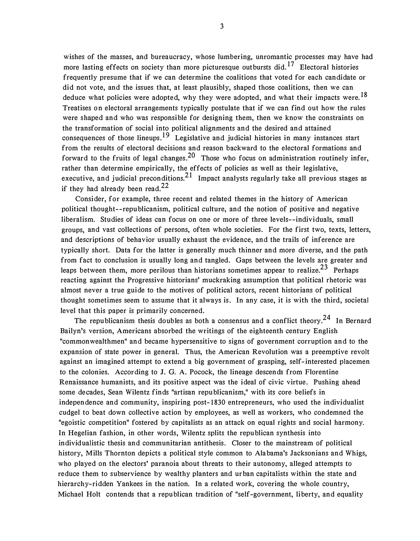wishes of the masses, and bureaucracy, whose lumbering, unromantic processes may have had more lasting effects on society than more picturesque outbursts did.  $17$  Electoral histories frequently presume that if we can determine the coalitions that voted for each candidate or did not vote, and the issues that, at least plausibly, shaped those coalitions, then we can deduce what policies were adopted, why they were adopted, and what their impacts were.<sup>18</sup> Treatises on electoral arrangements typically postulate that if we can find out how the rules were shaped and who was responsible for designing them, then we know the constraints on the transformation of social into political alignments and the desired and attained consequences of those lineups.<sup>19</sup> Legislative and judicial histories in many instances start from the results of electoral decisions and reason backward to the electoral formations and forward to the fruits of legal changes.<sup>20</sup> Those who focus on administration routinely infer, rather than determine empirically, the effects of policies as well as their legislative, executive, and judicial preconditions.  $2<sup>1</sup>$  Impact analysts regularly take all previous stages as if they had already been read. $22$ 

Consider, for example, three recent and related themes in the history of American political thought--republicanism, political culture, and the notion of positive and negative liberalism. Studies of ideas can focus on one or more of three levels--individuals, small groups, and vast collections of persons, often whole societies. For the first two, texts, letters, and descriptions of behavior usually exhaust the evidence, and the trails of inference are typically short. Data for the latter is generally much thinner and more diverse, and the path from fact to conclusion is usually long and tangled. Gaps between the levels are greater and leaps between them, more perilous than historians sometimes appear to realize.<sup>23</sup> Perhaps reacting against the Progressive historians' muckraking assumption that political rhetoric was almost never a true guide to the motives of political actors, recent historians of political thought sometimes seem to assume that it always is. In any case, it is with the third, societal level that this paper is primarily concerned.

The republicanism thesis doubles as both a consensus and a conflict theory.<sup>24</sup> In Bernard Bailyn's version, Americans absorbed the writings of the eighteenth century English "commonwealthmen" and became hypersensitive to signs of government corruption and to the expansion of state power in general. Thus, the American Revolution was a preemptive revolt against an imagined attempt to extend a big government of grasping, self-interested placemen to the colonies. According to J. G. A. Pocock, the lineage descends from Florentine Renaissance humanists, and its positive aspect was the ideal of civic virtue. Pushing ahead some decades, Sean Wilentz finds "artisan republicanism," with its core beliefs in independence and community, inspiring post-1830 entrepreneurs, who used the individualist cudgel to beat down collective action by employees, as well as workers, who condemned the "egoistic competition" fostered by capitalists as an attack on equal rights and social harmony. In Hegelian fashion, in other words, Wilentz splits the republican synthesis into individualistic thesis and communitarian antithesis. Closer to the mainstream of political history, Mills Thornton depicts a political style common to Alabama's Jacksonians and Whigs, who played on the electors' paranoia about threats to their autonomy, alleged attempts to reduce them to subservience by wealthy planters and urban capitalists within the state and hierarchy-ridden Yankees in the nation. In a related work, covering the whole country, Michael Holt contends that a republican tradition of "self-government, liberty, and equality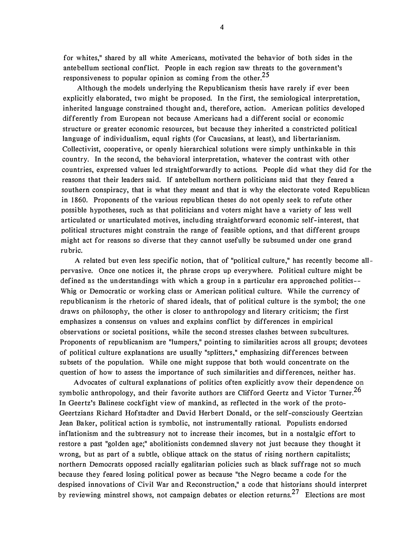for whites," shared by all white Americans, motivated the behavior of both sides in the antebellum sectional conflict. People in each region saw threats to the government's responsiveness to popular opinion as coming from the other.<sup>25</sup>

Although the models underlying the Republicanism thesis have rarely if ever been explicitly elaborated, two might be proposed. In the first, the semiological interpretation, inherited language constrained thought and, therefore, action. American politics developed differently from European not because Americans had a different social or economic structure or greater economic resources, but because they inherited a constricted political language of individualism, equal rights (for Caucasians, at least), and libertarianism. Collectivist, cooperative, or openly hierarchical solutions were simply unthinkable in this country. In the second, the behavioral interpretation, whatever the contrast with other countries, expressed values led straightforwardly to actions. People did what they did for the reasons that their leaders said. If antebellum northern politicians said that they feared a southern conspiracy, that is what they meant and that is why the electorate voted Republican in 1860. Proponents of the various republican theses do not openly seek to refute other possible hypotheses, such as that politicians and voters might have a variety of less well articulated or unarticulated motives, including straightforward economic self-interest, that political structures might constrain the range of feasible options, and that different groups might act for reasons so diverse that they cannot usefully be subsumed under one grand rubric.

A related but even less specific notion, that of "political culture," has recently become allpervasive. Once one notices it, the phrase crops up everywhere. Political culture might be defined as the understandings with which a group in a particular era approached politics- Whig or Democratic or working class or American political culture. While the currency of republicanism is the rhetoric of shared ideals, that of political culture is the symbol; the one draws on philosophy, the other is closer to anthropology and literary criticism; the first emphasizes a consensus on values and explains conflict by differences in empirical observations or societal positions, while the second stresses clashes between subcultures. Proponents of republicanism are "lumpers," pointing to similarities across all groups; devotees of political culture explanations are usually "splitters," emphasizing differences between subsets of the population. While one might suppose that both would concentrate on the question of how to assess the importance of such similarities and differences, neither has.

Advocates of cultural explanations of politics often explicitly avow their dependence on symbolic anthropology, and their favorite authors are Clifford Geertz and Victor Turner.<sup>26</sup> In Geertz's Balinese cockfight view of mankind, as reflected in the work of the proto-Geertzians Richard Hofstadter and David Herbert Donald, or the self-consciously Geertzian Jean Baker, political action is symbolic, not instrumentally rational. Populists endorsed inflationism and the subtreasury not to increase their incomes, but in a nostalgic effort to restore a past "golden age;" abolitionists condemned slavery not just because they thought it wrong, but as part of a subtle, oblique attack on the status of rising northern capitalists; northern Democrats opposed racially egalitarian policies such as black suffrage not so much because they feared losing political power as because "the Negro became a code for the despised innovations of Civil War and Reconstruction," a code that historians should interpret by reviewing minstrel shows, not campaign debates or election returns.<sup>27</sup> Elections are most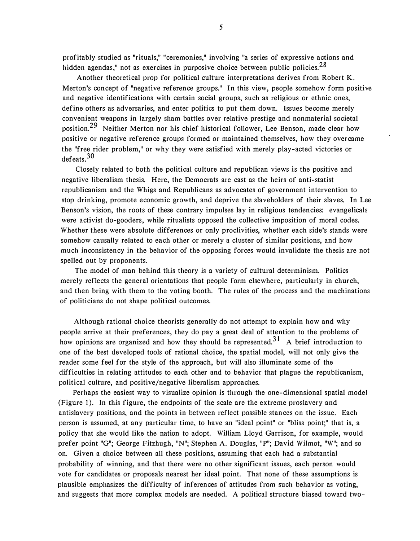profitably studied as "rituals," "ceremonies," involving "a series of expressive actions and hidden agendas," not as exercises in purposive choice between public policies.<sup>28</sup>

Another theoretical prop for political culture interpretations derives from Robert K. Merton's concept of "negative reference groups." In this view, people somehow form positive and negative identifications with certain social groups, such as religious or ethnic ones, define others as adversaries, and enter politics to put them down. Issues become merely convenient weapons in largely sham battles over relative prestige and nonmaterial societal position.<sup>29</sup> Neither Merton nor his chief historical follower, Lee Benson, made clear how positive or negative reference groups formed or maintained themselves, how they overcame the "free rider problem," or why they were satisfied with merely play-acted victories or defeats. 30

Closely related to both the political culture and republican views is the positive and negative liberalism thesis. Here, the Democrats are cast as the heirs of anti-statist republicanism and the Whigs and Republicans as advocates of government intervention to stop drinking, promote economic growth, and deprive the slaveholders of their slaves. In Lee Benson's vision, the roots of these contrary impulses lay in religious tendencies: evangelicals were activist do-gooders, while ritualists opposed the collective imposition of moral codes. Whether these were absolute differences or only proclivities, whether each side's stands were somehow causally related to each other or merely a cluster of similar positions, and how much inconsistency in the behavior of the opposing forces would invalidate the thesis are not spelled out by proponents.

The model of man behind this theory is a variety of cultural determinism. Politics merely reflects the general orientations that people form elsewhere, particularly in church, and then bring with them to the voting booth. The rules of the process and the machinations of politicians do not shape political outcomes.

Although rational choice theorists generally do not attempt to explain how and why people arrive at their preferences, they do pay a great deal of attention to the problems of how opinions are organized and how they should be represented.<sup>31</sup> A brief introduction to one of the best developed tools of rational choice, the spatial model, will not only give the reader some feel for the style of the approach, but will also illuminate some of the difficulties in relating attitudes to each other and to behavior that plague the republicanism, political culture, and positive/negative liberalism approaches.

Perhaps the easiest way to visualize opinion is through the one-dimensional spatial model (Figure 1). In this figure, the endpoints of the scale are the extreme proslavery and antislavery positions, and the points in between reflect possible stances on the issue. Each person is assumed, at any particular time, to have an "ideal point" or "bliss point;" that is, a policy that she would like the nation to adopt. William Lloyd Garrison, for example, would prefer point "G"; George Fitzhugh, "N"; Stephen A. Douglas, "P"; David Wilmot, "W"; and so on. Given a choice between all these positions, assuming that each had a substantial probability of winning, and that there were no other significant issues, each person would vote for candidates or proposals nearest her ideal point. That none of these assumptions is plausible emphasizes the difficulty of inferences of attitudes from such behavior as voting, and suggests that more complex models are needed. A political structure biased toward two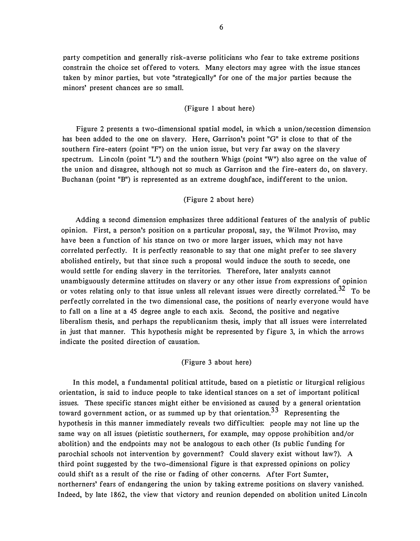party competition and generally risk-averse politicians who fear to take extreme positions constrain the choice set offered to voters. Many electors may agree with the issue stances taken by minor parties, but vote "strategically" for one of the major parties because the minors' present chances are so small.

### (Figure 1 about here)

Figure 2 presents a two-dimensional spatial model, in which a union/secession dimension has been added to the one on slavery. Here, Garrison's point "G" is close to that of the southern fire-eaters (point "F") on the union issue, but very far away on the slavery spectrum. Lincoln (point "L") and the southern Whigs (point "W") also agree on the value of the union and disagree, although not so much as Garrison and the fire-eaters do, on slavery. Buchanan (point "B") is represented as an extreme doughface, indifferent to the union.

#### (Figure 2 about here)

Adding a second dimension emphasizes three additional features of the analysis of public opinion. First, a person's position on a particular proposal, say, the Wilmot Proviso, may have been a function of his stance on two or more larger issues, which may not have correlated perfectly. It is perfectly reasonable to say that one might prefer to see slavery abolished entirely, but that since such a proposal would induce the south to secede, one would settle for ending slavery in the territories. Therefore, later analysts cannot unambiguously determine attitudes on slavery or any other issue from expressions of opinion or votes relating only to that issue unless all relevant issues were directly correlated.<sup>32</sup> To be perfectly correlated in the two dimensional case, the positions of nearly everyone would have to fall on a line at a 45 degree angle to each axis. Second, the positive and negative liberalism thesis, and perhaps the republicanism thesis, imply that all issues were interrelated in just that manner. This hypothesis might be represented by figure 3, in which the arrows indicate the posited direction of causation.

## (Figure 3 about here)

In this model, a fundamental political attitude, based on a pietistic or liturgical religious orientation, is said to induce people to take identical stances on a set of important political issues. These specific stances might either be envisioned as caused by a general orientation toward government action, or as summed up by that orientation.<sup>33</sup> Representing the hypothesis in this manner immediately reveals two difficulties: people may not line up the same way on all issues (pietistic southerners, for example, may oppose prohibition and/or abolition) and the endpoints may not be analogous to each other (Is public funding for parochial schools not intervention by government? Could slavery exist without law?). A third point suggested by the two-dimensional figure is that expressed opinions on policy could shift as a result of the rise or fading of other concerns. After Fort Sumter, northerners' fears of endangering the union by taking extreme positions on slavery vanished. Indeed, by late 1862, the view that victory and reunion depended on abolition united Lincoln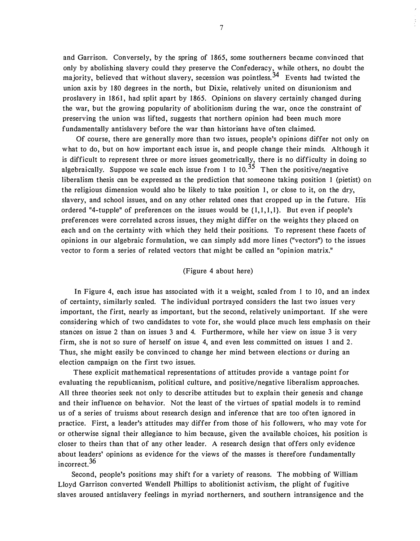and Garrison. Conversely, by the spring of 1 865, some southerners became convinced that only by abolishing slavery could they preserve the Confederacy, while others, no doubt the majority, believed that without slavery, secession was pointless.<sup>34</sup> Events had twisted the union axis by 180 degrees in the north, but Dixie, relatively united on disunionism and proslavery in 1861, had split apart by 1865. Opinions on slavery certainly changed during the war, but the growing popularity of abolitionism during the war, once the constraint of preserving the union was lifted, suggests that northern opinion had been much more fundamentally antislavery before the war than historians have of ten claimed.

Of course, there are generally more than two issues, people's opinions differ not only on what to do, but on how important each issue is, and people change their minds. Although it is difficult to represent three or more issues geometrically, there is no difficulty in doing so algebraically. Suppose we scale each issue from 1 to  $10^{0.35}$  Then the positive/negative liberalism thesis can be expressed as the prediction that someone taking position 1 (pietist) on the religious dimension would also be likely to take position 1, or close to it, on the dry, slavery, and school issues, and on any other related ones that cropped up in the future. His ordered "4-tupple" of preferences on the issues would be  $\{1,1,1,1\}$ . But even if people's preferences were correlated across issues, they might differ on the weights they placed on each and on the certainty with which they held their positions. To represent these facets of opinions in our algebraic formulation, we can simply add more lines ("vectors") to the issues vector to form a series of related vectors that might be called an "opinion matrix."

#### (Figure 4 about here)

In Figure 4, each issue has associated with it a weight, scaled from 1 to 10, and an index of certainty, similarly scaled. The individual portrayed considers the last two issues very important, the first, nearly as important, but the second, relatively unimportant. If she were considering which of two candidates to vote for, she would place much less emphasis on their stances on issue 2 than on issues 3 and 4. Furthermore, while her view on issue 3 is very firm, she is not so sure of herself on issue 4, and even less committed on issues 1 and 2. Thus, she might easily be convinced to change her mind between elections or during an election campaign on the first two issues.

These explicit mathematical representations of attitudes provide a vantage point for evaluating the republicanism, political culture, and positive/negative liberalism approaches. All three theories seek not only to describe attitudes but to explain their genesis and change and their influence on behavior. Not the least of the virtues of spatial models is to remind us of a series of truisms about research design and inference that are too often ignored in practice. First, a leader's attitudes may differ from those of his followers, who may vote for or otherwise signal their allegiance to him because, given the available choices, his position is closer to theirs than that of any other leader. A research design that offers only evidence about leaders' opinions as evidence for the views of the masses is therefore fundamentally incorrect. 36

Second, people's positions may shift for a variety of reasons. The mobbing of William Lloyd Garrison converted Wendell Phillips to abolitionist activism, the plight of fugitive slaves aroused antislavery feelings in myriad northerners, and southern intransigence and the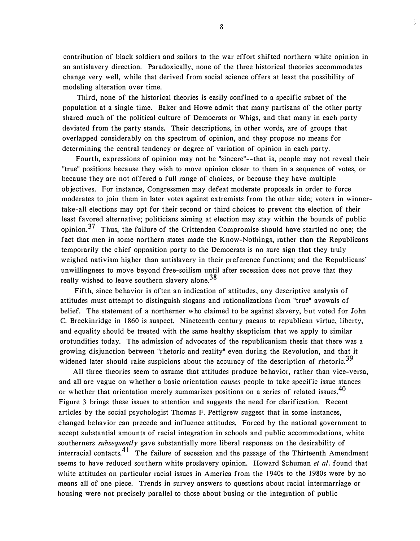contribution of black soldiers and sailors to the war effort shifted northern white opinion in an antislavery direction. Paradoxically, none of the three historical theories accommodates change very well, while that derived from social science offers at least the possibility of modeling alteration over time.

Third, none of the historical theories is easily confined to a specific subset of the population at a single time. Baker and Howe admit that many partisans of the other party shared much of the political culture of Democrats or Whigs, and that many in each party deviated from the party stands. Their descriptions, in other words, are of groups that overlapped considerably on the spectrum of opinion, and they propose no means for determining the central tendency or degree of variation of opinion in each party.

Fourth, expressions of opinion may not be "sincere"--that is, people may not reveal their "true" positions because they wish to move opinion closer to them in a sequence of votes, or because they are not offered a full range of choices, or because they have multiple objectives. For instance, Congressmen may defeat moderate proposals in order to force moderates to join them in later votes against extremists from the other side; voters in winnertake-all elections may opt for their second or third choices to prevent the election of their least favored alternative; politicians aiming at election may stay within the bounds of public opinion.<sup>37</sup> Thus, the failure of the Crittenden Compromise should have startled no one; the fact that men in some northern states made the Know-Nothings, rather than the Republicans temporarily the chief opposition party to the Democrats is no sure sign that they truly weighed nativism higher than antislavery in their preference functions; and the Republicans' unwillingness to move beyond free-soilism until after secession does not prove that they really wished to leave southern slavery alone.<sup>38</sup>

Fifth, since behavior is often an indication of attitudes, any descriptive analysis of attitudes must attempt to distinguish slogans and rationalizations from "true" avowals of belief. The statement of a northerner who claimed to be against slavery, but voted for John C. Breckinridge in 1 860 is suspect. Nineteenth century paeans to republican virtue, liberty, and equality should be treated with the same healthy skepticism that we apply to similar orotundities today. The admission of advocates of the republicanism thesis that there was a growing disjunction between "rhetoric and reality" even during the Revolution, and that it widened later should raise suspicions about the accuracy of the description of rhetoric.<sup>39</sup>

All three theories seem to assume that attitudes produce behavior, rather than vice-versa, and all are vague on whether a basic orientation *causes* people to take specific issue stances or whether that orientation merely summarizes positions on a series of related issues.<sup>40</sup> Figure 3 brings these issues to attention and suggests the need for clarification. Recent articles by the social psychologist Thomas F. Pettigrew suggest that in some instances, changed behavior can precede and influence attitudes. Forced by the national government to accept substantial amounts of racial integration in schools and public accommodations, white southerners *subsequently* gave substantially more liberal responses on the desirability of interracial contacts.<sup>41</sup> The failure of secession and the passage of the Thirteenth Amendment seems to have reduced southern white proslavery opinion. Howard Schuman et al. found that white attitudes on particular racial issues in America from the 1940s to the 1980s were by no means all of one piece. Trends in survey answers to questions about racial intermarriage or housing were not precisely parallel to those about busing or the integration of public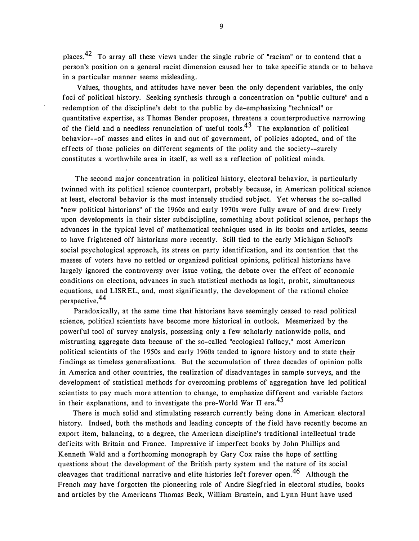places. 42 To array all these views under the single rubric of "racism" or to contend that a person's position on a general racist dimension caused her to take specific stands or to behave in a particular manner seems misleading.

Values, thoughts, and attitudes have never been the only dependent variables, the only foci of political history. Seeking synthesis through a concentration on "public culture" and a redemption of the discipline's debt to the public by de-emphasizing "technical" or quantitative expertise, as Thomas Bender proposes, threatens a counterproductive narrowing of the field and a needless renunciation of useful tools.<sup>43</sup> The explanation of political behavior- -of masses and elites in and out of government, of policies adopted, and of the effects of those policies on different segments of the polity and the society--surely constitutes a worthwhile area in itself, as well as a reflection of political minds.

The second major concentration in political history, electoral behavior, is particularly twinned with its political science counterpart, probably because, in American political science at least, electoral behavior is the most intensely studied subject. Yet whereas the so-called "new political historians" of the 1960s and early 1970s were fully aware of and drew freely upon developments in their sister subdiscipline, something about political science, perhaps the advances in the typical level of mathematical techniques used in its books and articles, seems to have frightened off historians more recently. Still tied to the early Michigan School's social psychological approach, its stress on party identification, and its contention that the masses of voters have no settled or organized political opinions, political historians have largely ignored the controversy over issue voting, the debate over the effect of economic conditions on elections, advances in such statistical methods as logit, probit, simultaneous equations, and LISREL, and, most significantly, the development of the rational choice perspective. 44

Paradoxically, at the same time that historians have seemingly ceased to read political science, political scientists have become more historical in outlook. Mesmerized by the powerful tool of survey analysis, possessing only a few scholarly nationwide polls, and mistrusting aggregate data because of the so-called "ecological fallacy," most American political scientists of the 1 950s and early 1 960s tended to ignore history and to state their findings as timeless generalizations. But the accumulation of three decades of opinion polls in America and other countries, the realization of disadvantages in sample surveys, and the development of statistical methods for overcoming problems of aggregation have led political scientists to pay much more attention to change, to emphasize different and variable factors in their explanations, and to investigate the pre-World War II era.<sup>45</sup>

There is much solid and stimulating research currently being done in American electoral history. Indeed, both the methods and leading concepts of the field have recently become an export item, balancing, to a degree, the American discipline's traditional intellectual trade deficits with Britain and France. Impressive if imperfect books by John Phillips and Kenneth Wald and a forthcoming monograph by Gary Cox raise the hope of settling questions about the development of the British party system and the nature of its social cleavages that traditional narrative and elite histories left forever open.<sup>46</sup> Although the French may have forgotten the pioneering role of Andre Siegfried in electoral studies, books and articles by the Americans Thomas Beck, William Brustein, and Lynn Hunt have used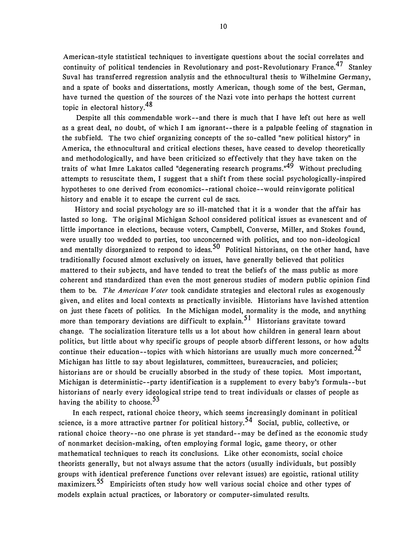American-style statistical techniques to investigate questions about the social correlates and continuity of political tendencies in Revolutionary and post-Revolutionary France.<sup>47</sup> Stanley Suval has transferred regression analysis and the ethnocultural thesis to Wilhelmine Germany, and a spate of books and dissertations, mostly American, though some of the best, German, have turned the question of the sources of the Nazi vote into perhaps the hottest current topic in electoral history.48

Despite all this commendable work--and there is much that I have left out here as well as a great deal, no doubt, of which I am ignorant- -there is a palpable feeling of stagnation in the subfield. The two chief organizing concepts of the so-called "new political history" in America, the ethnocultural and critical elections theses, have ceased to develop theoretically and methodologically, and have been criticized so effectively that they have taken on the traits of what Imre Lakatos called "degenerating research programs."<sup>49</sup> Without precluding attempts to resuscitate them, I suggest that a shift from these social psychologically-inspired hypotheses to one derived from economics--rational choice--would reinvigorate political history and enable it to escape the current cul de sacs.

History and social psychology are so ill-matched that it is a wonder that the affair has lasted so long. The original Michigan School considered political issues as evanescent and of little importance in elections, because voters, Campbell, Converse, Miller, and Stokes found, were usually too wedded to parties, too unconcerned with politics, and too non-ideological and mentally disorganized to respond to ideas.<sup>50</sup> Political historians, on the other hand, have traditionally focused almost exclusively on issues, have generally believed that politics mattered to their subjects, and have tended to treat the beliefs of the mass public as more coherent and standardized than even the most generous studies of modern public opinion find them to be. The American Voter took candidate strategies and electoral rules as exogenously given, and elites and local contexts as practically invisible. Historians have lavished attention on just these facets of politics. In the Michigan model, normality is the mode, and anything more than temporary deviations are difficult to explain.<sup>51</sup> Historians gravitate toward change. The socialization literature tells us a lot about how children in general learn about politics, but little about why specific groups of people absorb different lessons, or how adults continue their education--topics with which historians are usually much more concerned. $52$ Michigan has little to say about legislatures, committees, bureaucracies, and policies; historians are or should be crucially absorbed in the study of these topics. Most important, Michigan is deterministic--party identification is a supplement to every baby's formula--but historians of nearly every ideological stripe tend to treat individuals or classes of people as having the ability to choose.  $5<sup>3</sup>$ 

In each respect, rational choice theory, which seems increasingly dominant in political science, is a more attractive partner for political history.<sup>54</sup> Social, public, collective, or rational choice theory- -no one phrase is yet standard--may be defined as the economic study of nonmarket decision-making, often employing formal logic, game theory, or other mathematical techniques to reach its conclusions. Like other economists, social choice theorists generally, but not always assume that the actors (usually individuals, but possibly groups with identical preference functions over relevant issues) are egoistic, rational utility maximizers.<sup>55</sup> Empiricists often study how well various social choice and other types of models explain actual practices, or laboratory or computer-simulated results.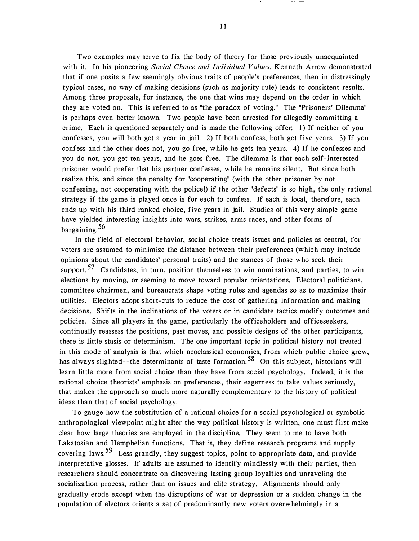Two examples may serve to fix the body of theory for those previously unacquainted with it. In his pioneering *Social Choice and Individual Values*, Kenneth Arrow demonstrated that if one posits a few seemingly obvious traits of people's preferences, then in distressingly typical cases, no way of making decisions (such as majority rule) leads to consistent results. Among three proposals, for instance, the one that wins may depend on the order in which they are voted on. This is referred to as "the paradox of voting." The "Prisoners' Dilemma" is perhaps even better known. Two people have been arrested for allegedly committing a crime. Each is questioned separately and is made the following offer: 1) If neither of you confesses, you will both get a year in jail. 2) If both confess, both get five years. 3) If you confess and the other does not, you go free, while he gets ten years. 4) If he confesses and you do not, you get ten years, and he goes free. The dilemma is that each self-interested prisoner would prefer that his partner confesses, while he remains silent. But since both realize this, and since the penalty for "cooperating" (with the other prisoner by not confessing, not cooperating with the police!) if the other "defects" is so high, the only rational strategy if the game is played once is for each to confess. If each is local, therefore, each ends up with his third ranked choice, five years in jail. Studies of this very simple game have yielded interesting insights into wars, strikes, arms races, and other forms of bargaining. 56

In the field of electoral behavior, social choice treats issues and policies as central, for voters are assumed to minimize the distance between their preferences (which may include opinions about the candidates' personal traits) and the stances of those who seek their support.<sup>57</sup> Candidates, in turn, position themselves to win nominations, and parties, to win elections by moving, or seeming to move toward popular orientations. Electoral politicians, committee chairmen, and bureaucrats shape voting rules and agendas so as to maximize their utilities. Electors adopt short-cuts to reduce the cost of gathering information and making decisions. Shifts in the inclinations of the voters or in candidate tactics modify outcomes and policies. Since all players in the game, particularly the officeholders and officeseekers, continually reassess the positions, past moves, and possible designs of the other participants, there is little stasis or determinism. The one important topic in political history not treated in this mode of analysis is that which neoclassical economics, from which public choice grew, has always slighted--the determinants of taste formation.<sup>58</sup> On this subject, historians will learn little more from social choice than they have from social psychology. Indeed, it is the rational choice theorists' emphasis on preferences, their eagerness to take values seriously, that makes the approach so much more naturally complementary to the history of political ideas than that of social psychology.

To gauge how the substitution of a rational choice for a social psychological or symbolic anthropological viewpoint might alter the way political history is written, one must first make clear how large theories are employed in the discipline. They seem to me to have both Lakatosian and Hemphelian functions. That is, they define research programs and supply covering laws.<sup>59</sup> Less grandly, they suggest topics, point to appropriate data, and provide interpretative glosses. If adults are assumed to identify mindlessly with their parties, then researchers should concentrate on discovering lasting group loyalties and unraveling the socialization process, rather than on issues and elite strategy. Alignments should only gradually erode except when the disruptions of war or depression or a sudden change in the population of electors orients a set of predominantly new voters overwhelmingly in a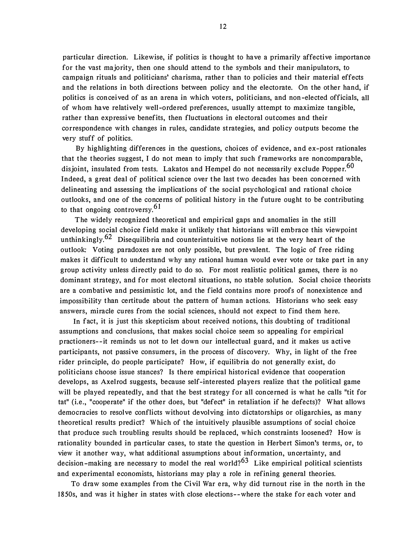particular direction. Likewise, if politics is thought to have a primarily affective importance for the vast majority, then one should attend to the symbols and their manipulators, to campaign rituals and politicians' charisma, rather than to policies and their material effects and the relations in both directions between policy and the electorate. On the other hand, if politics is conceived of as an arena in which voters, politicians, and non-elected officials, all of whom have relatively well-ordered preferences, usually attempt to maximize tangible, rather than expressive benefits, then fluctuations in electoral outcomes and their correspondence with changes in rules, candidate strategies, and policy outputs become the very stuff of politics.

By highlighting differences in the questions, choices of evidence, and ex-post rationales that the theories suggest, I do not mean to imply that such frameworks are noncomparable, disjoint, insulated from tests. Lakatos and Hempel do not necessarily exclude Popper.<sup>60</sup> Indeed, a great deal of political science over the last two decades has been concerned with delineating and assessing the implications of the social psychological and rational choice outlooks, and one of the concerns of political history in the future ought to be contributing to that ongoing controversy.  $6<sup>1</sup>$ 

The widely recognized theoretical and empirical gaps and anomalies in the still developing social choice field make it unlikely that historians will embrace this viewpoint unthinkingly.<sup>62</sup> Disequilibria and counterintuitive notions lie at the very heart of the outlook: Voting paradoxes are not only possible, but prevalent. The logic of free riding makes it difficult to understand why any rational human would ever vote or take part in any group activity unless directly paid to do so. For most realistic political games, there is no dominant strategy, and for most electoral situations, no stable solution. Social choice theorists are a combative and pessimistic lot, and the field contains more proofs of nonexistence and impossibility than certitude about the pattern of human actions. Historians who seek easy answers, miracle cures from the social sciences, should not expect to find them here.

In fact, it is just this skepticism about received notions, this doubting of traditional assumptions and conclusions, that makes social choice seem so appealing for empirical practioners- -it reminds us not to let down our intellectual guard, and it makes us active participants, not passive consumers, in the process of discovery. Why, in light of the free rider principle, do people participate? How, if equilibria do not generally exist, do politicians choose issue stances? Is there empirical historical evidence that cooperation develops, as Axelrod suggests, because self-interested players realize that the political game will be played repeatedly, and that the best strategy for all concerned is what he calls "tit for tat" (i.e., "cooperate" if the other does, but "defect" in retaliation if he defects)? What allows democracies to resolve conflicts without devolving into dictatorships or oligarchies, as many theoretical results predict? Which of the intuitively plausible assumptions of social choice that produce such troubling results should be replaced, which constraints loosened? How is rationality bounded in particular cases, to state the question in Herbert Simon's terms, or, to view it another way, what additional assumptions about information, uncertainty, and decision-making are necessary to model the real world?<sup>63</sup> Like empirical political scientists and experimental economists, historians may play a role in refining general theories.

To draw some examples from the Civil War era, why did turnout rise in the north in the 1850s, and was it higher in states with close elections--where the stake for each voter and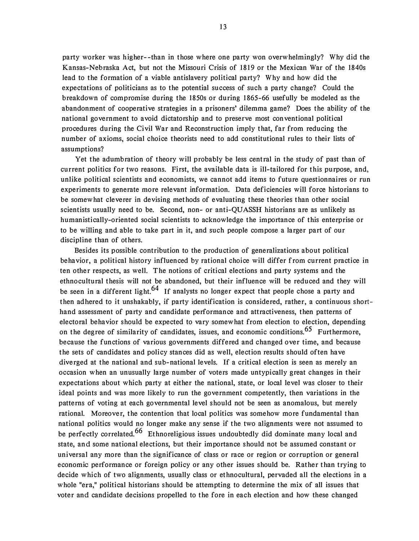party worker was higher- -than in those where one party won overwhelmingly? Why did the Kansas-Nebraska Act, but not the Missouri Crisis of 1819 or the Mexican War of the 1840s lead to the formation of a viable antislavery political party? Why and how did the expectations of politicians as to the potential success of such a party change? Could the breakdown of compromise during the 1850s or during 1865-66 usefully be modeled as the abandonment of cooperative strategies in a prisoners' dilemma game? Does the ability of the national government to avoid dictatorship and to preserve most conventional political procedures during the Civil War and Reconstruction imply that, far from reducing the number of axioms, social choice theorists need to add constitutional rules to their lists of assumptions?

Yet the adumbration of theory will probably be less central in the study of past than of current politics for two reasons. First, the available data is ill-tailored for this purpose, and, unlike political scientists and economists, we cannot add items to future questionnaires or run experiments to generate more relevant information. Data deficiencies will force historians to be somewhat cleverer in devising methods of evaluating these theories than other social scientists usually need to be. Second, non- or anti-QUASSH historians are as unlikely as humanistically-oriented social scientists to acknowledge the importance of this enterprise or to be willing and able to take part in it, and such people compose a larger part of our discipline than of others.

Besides its possible contribution to the production of generalizations about political behavior, a political history influenced by rational choice will differ from current practice in ten other respects, as well. The notions of critical elections and party systems and the ethnocultural thesis will not be abandoned, but their influence will be reduced and they will be seen in a different light.<sup>64</sup> If analysts no longer expect that people chose a party and then adhered to it unshakably, if party identification is considered, rather, a continuous shorthand assessment of party and candidate performance and attractiveness, then patterns of electoral behavior should be expected to vary somewhat from election to election, depending on the degree of similarity of candidates, issues, and economic conditions.<sup>65</sup> Furthermore, because the functions of various governments differed and changed over time, and because the sets of candidates and policy stances did as well, election results should often have diverged at the national and sub-national levels. If a critical election is seen as merely an occasion when an unusually large number of voters made untypically great changes in their expectations about which party at either the national, state, or local level was closer to their ideal points and was more likely to run the government competently, then variations in the patterns of voting at each governmental level should not be seen as anomalous, but merely rational. Moreover, the contention that local politics was somehow more fundamental than national politics would no longer make any sense if the two alignments were not assumed to be perfectly correlated.<sup>66</sup> Ethnoreligious issues undoubtedly did dominate many local and state, and some national elections, but their importance should not be assumed constant or universal any more than the significance of class or race or region or corruption or general economic performance or foreign policy or any other issues should be. Rather than trying to decide which of two alignments, usually class or ethnocultural, pervaded all the elections in a whole "era," political historians should be attempting to determine the mix of all issues that voter and candidate decisions propelled to the fore in each election and how these changed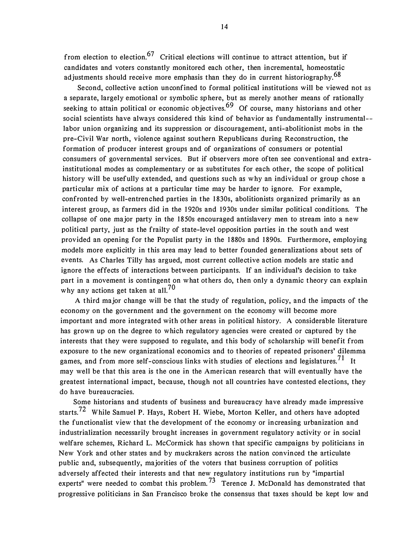from election to election.<sup>67</sup> Critical elections will continue to attract attention, but if candidates and voters constantly monitored each other, then incremental, homeostatic adjustments should receive more emphasis than they do in current historiography.<sup>68</sup>

Second, collective action unconfined to formal political institutions will be viewed not as a separate, largely emotional or symbolic sphere, but as merely another means of rationally seeking to attain political or economic objectives.<sup>69</sup> Of course, many historians and other social scientists have always considered this kind of behavior as fundamentally instrumental labor union organizing and its suppression or discouragement, anti-abolitionist mobs in the pre-Civil War north, violence against southern Republicans during Reconstruction, the formation of producer interest groups and of organizations of consumers or potential consumers of governmental services. But if observers more often see conventional and extrainstitutional modes as complementary or as substitutes for each other, the scope of political history will be usefully extended, and questions such as why an individual or group chose a particular mix of actions at a particular time may be harder to ignore. For example, confronted by well-entrenched parties in the 1830s, abolitionists organized primarily as an interest group, as farmers did in the 1 920s and 1930s under similar political conditions. The collapse of one major party in the 1850s encouraged antislavery men to stream into a new political party, just as the frailty of state-level opposition parties in the south and west provided an opening for the Populist party in the 1 880s and 1 890s. Furthermore, employing models more explicitly in this area may lead to better founded generalizations about sets of events. As Charles Tilly has argued, most current collective action models are static and ignore the effects of interactions between participants. If an individual's decision to take part in a movement is contingent on what others do, then only a dynamic theory can explain why any actions get taken at all.<sup>70</sup>

A third major change will be that the study of regulation, policy, and the impacts of the economy on the government and the government on the economy will become more important and more integrated with other areas in political history. A considerable literature has grown up on the degree to which regulatory agencies were created or captured by the interests that they were supposed to regulate, and this body of scholarship will benefit from exposure to the new organizational economics and to theories of repeated prisoners' dilemma games, and from more self-conscious links with studies of elections and legislatures.<sup>71</sup> It may well be that this area is the one in the American research that will eventually have the greatest international impact, because, though not all countries have contested elections, they do have bureaucracies.

Some historians and students of business and bureaucracy have already made impressive starts.<sup>72</sup> While Samuel P. Hays, Robert H. Wiebe, Morton Keller, and others have adopted the functionalist view that the development of the economy or increasing urbanization and industrialization necessarily brought increases in government regulatory activity or in social welfare schemes, Richard L. McCormick has shown that specific campaigns by politicians in New York and other states and by muckrakers across the nation convinced the articulate public and, subsequently, majorities of the voters that business corruption of politics adversely affected their interests and that new regulatory institutions run by "impartial experts" were needed to combat this problem.<sup>73</sup> Terence J. McDonald has demonstrated that progressive politicians in San Francisco broke the consensus that taxes should be kept low and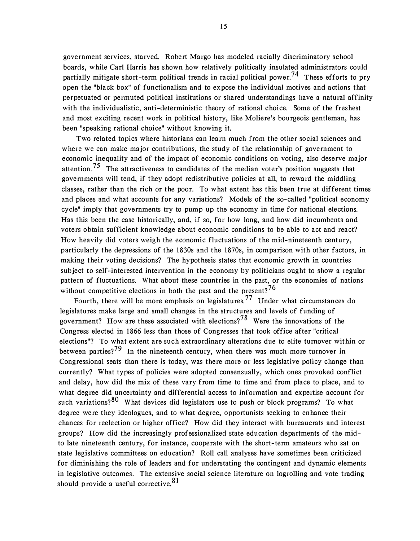government services, starved. Robert Margo has modeled racially discriminatory school boards, while Carl Harris has shown how relatively politically insulated administrators could partially mitigate short-term political trends in racial political power.<sup>74</sup> These efforts to pry open the "black box" of functionalism and to expose the individual motives and actions that perpetuated or permuted political institutions or shared understandings have a natural affinity with the individualistic, anti-deterministic theory of rational choice. Some of the freshest and most exciting recent work in political history, like Moliere's bourgeois gentleman, has been "speaking rational choice" without knowing it.

Two related topics where historians can learn much from the other social sciences and where we can make major contributions, the study of the relationship of government to economic inequality and of the impact of economic conditions on voting, also deserve major attention.<sup>75</sup> The attractiveness to candidates of the median voter's position suggests that governments will tend, if they adopt redistributive policies at all, to reward the middling classes, rather than the rich or the poor. To what extent has this been true at different times and places and what accounts for any variations? Models of the so-called "political economy cycle" imply that governments try to pump up the economy in time for national elections. Has this been the case historically, and, if so, for how long, and how did incumbents and voters obtain sufficient knowledge about economic conditions to be able to act and react? How heavily did voters weigh the economic fluctuations of the mid-nineteenth century, particularly the depressions of the 1830s and the 1870s, in comparison with other factors, in making their voting decisions? The hypothesis states that economic growth in countries subject to self-interested intervention in the economy by politicians ought to show a regular pattern of fluctuations. What about these countries in the past, or the economies of nations without competitive elections in both the past and the present?<sup>76</sup>

Fourth, there will be more emphasis on legislatures.<sup>77</sup> Under what circumstances do legislatures make large and small changes in the structures and levels of funding of government? How are these associated with elections?<sup>78</sup> Were the innovations of the Congress elected in 1866 less than those of Congresses that took office after "critical elections"? To what extent are such extraordinary alterations due to elite turnover within or between parties?<sup>79</sup> In the nineteenth century, when there was much more turnover in Congressional seats than there is today, was there more or less legislative policy change than currently? What types of policies were adopted consensually, which ones provoked conflict and delay, how did the mix of these vary from time to time and from place to place, and to what degree did uncertainty and differential access to information and expertise account for such variations?<sup>80</sup> What devices did legislators use to push or block programs? To what degree were they ideologues, and to what degree, opportunists seeking to enhance their chances for reelection or higher office? How did they interact with bureaucrats and interest groups? How did the increasingly professionalized state education departments of the midto late nineteenth century, for instance, cooperate with the short-term amateurs who sat on state legislative committees on education? Roll call analyses have sometimes been criticized for diminishing the role of leaders and for understating the contingent and dynamic elements in legislative outcomes. The extensive social science literature on logrolling and vote trading should provide a useful corrective.<sup>81</sup>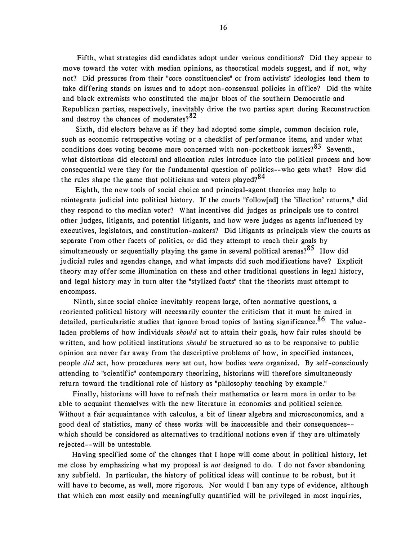Fifth, what strategies did candidates adopt under various conditions? Did they appear to move toward the voter with median opinions, as theoretical models suggest, and if not, why not? Did pressures from their "core constituencies" or from activists' ideologies lead them to take differing stands on issues and to adopt non-consensual policies in office? Did the white and black extremists who constituted the major blocs of the southern Democratic and Republican parties, respectively, inevitably drive the two parties apart during Reconstruction and destroy the chances of moderates?<sup>82</sup>

Sixth, did electors behave as if they had adopted some simple, common decision rule, such as economic retrospective voting or a checklist of performance items, and under what conditions does voting become more concerned with non-pocketbook issues? $83$  Seventh, what distortions did electoral and allocation rules introduce into the political process and how consequential were they for the fundamental question of politics--who gets what? How did the rules shape the game that politicians and voters played? $84$ 

Eighth, the new tools of social choice and principal-agent theories may help to reintegrate judicial into political history. If the courts "follow[ed] the 'illection' returns," did they respond to the median voter? What incentives did judges as principals use to control other judges, litigants, and potential litigants, and how were judges as agents influenced by executives, legislators, and constitution-makers? Did litigants as principals view the courts as separate from other facets of politics, or did they attempt to reach their goals by simultaneously or sequentially playing the game in several political arenas?<sup>85</sup> How did judicial rules and agendas change, and what impacts did such modifications have? Explicit theory may offer some illumination on these and other traditional questions in legal history, and legal history may in turn alter the "stylized facts" that the theorists must attempt to encompass.

Ninth, since social choice inevitably reopens large, often normative questions, a reoriented political history will necessarily counter the criticism that it must be mired in detailed, particularistic studies that ignore broad topics of lasting significance.<sup>86</sup> The valueladen problems of how individuals should act to attain their goals, how fair rules should be written, and how political institutions *should* be structured so as to be responsive to public opinion are never far away from the descriptive problems of how, in specified instances, people did act, how procedures were set out, how bodies were organized. By self-consciously attending to "scientific" contemporary theorizing, historians will therefore simultaneously return toward the traditional role of history as "philosophy teaching by example."

Finally, historians will have to refresh their mathematics or learn more in order to be able to acquaint themselves with the new literature in economics and political science. Without a fair acquaintance with calculus, a bit of linear algebra and microeconomics, and a good deal of statistics, many of these works will be inaccessible and their consequences which should be considered as alternatives to traditional notions even if they are ultimately rejected--will be untestable.

Having specified some of the changes that I hope will come about in political history, let me close by emphasizing what my proposal is not designed to do. I do not favor abandoning any subfield. In particular, the history of political ideas will continue to be robust, but it will have to become, as well, more rigorous. Nor would I ban any type of evidence, although that which can most easily and meaningfully quantified will be privileged in most inquiries,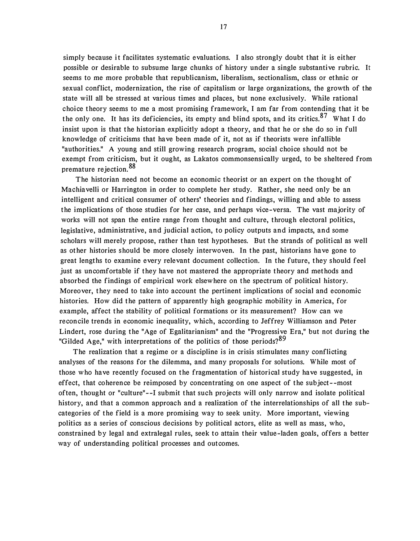simply because it facilitates systematic evaluations. I also strongly doubt that it is either possible or desirable to subsume large chunks of history under a single substantive rubric. It seems to me more probable that republicanism, liberalism, sectionalism, class or ethnic or sexual conflict, modernization, the rise of capitalism or large organizations, the growth of the state will all be stressed at various times and places, but none exclusively. While rational choice theory seems to me a most promising framework, I am far from contending that it be the only one. It has its deficiencies, its empty and blind spots, and its critics.<sup>87</sup> What I do insist upon is that the historian explicitly adopt a theory, and that he or she do so in full knowledge of criticisms that have been made of it, not as if theorists were infallible "authorities." A young and still growing research program, social choice should not be exempt from criticism, but it ought, as Lakatos commonsensically urged, to be sheltered from premature rejection.<sup>88</sup>

The historian need not become an economic theorist or an expert on the thought of Machiavelli or Harrington in order to complete her study. Rather, she need only be an intelligent and critical consumer of others' theories and findings, willing and able to assess the implications of those studies for her case, and perhaps vice-versa. The vast majority of works will not span the entire range from thought and culture, through electoral politics, legislative, administrative, and judicial action, to policy outputs and impacts, and some scholars will merely propose, rather than test hypotheses. But the strands of political as well as other histories should be more closely interwoven. In the past, historians have gone to great lengths to examine every relevant document collection. In the future, they should feel just as uncomfortable if they have not mastered the appropriate theory and methods and absorbed the findings of empirical work elsewhere on the spectrum of political history. Moreover, they need to take into account the pertinent implications of social and economic histories. How did the pattern of apparently high geographic mobility in America, for example, affect the stability of political formations or its measurement? How can we reconcile trends in economic inequality, which, according to Jeffrey Williamson and Peter Lindert, rose during the "Age of Egalitarianism" and the "Progressive Era," but not during the "Gilded Age," with interpretations of the politics of those periods? $89$ 

The realization that a regime or a discipline is in crisis stimulates many conflicting analyses of the reasons for the dilemma, and many proposals for solutions. While most of those who have recently focused on the fragmentation of historical study have suggested, in effect, that coherence be reimposed by concentrating on one aspect of the subject--most often, thought or "culture"--! submit that such projects will only narrow and isolate political history, and that a common approach and a realization of the interrelationships of all the subcategories of the field is a more promising way to seek unity. More important, viewing politics as a series of conscious decisions by political actors, elite as well as mass, who, constrained by legal and extralegal rules, seek to attain their value-laden goals, offers a better way of understanding political processes and outcomes.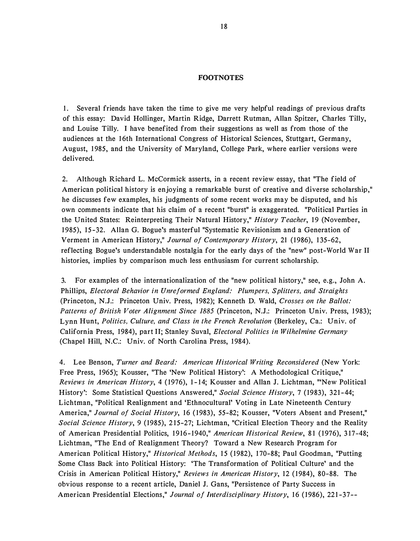#### **FOOTNOTES**

1. Several friends have taken the time to give me very helpful readings of previous drafts of this essay: David Hollinger, Martin Ridge, Darrett Rutman, Allan Spitzer, Charles Tilly, and Louise Tilly. I have benefited from their suggestions as well as from those of the audiences at the 1 6th International Congress of Historical Sciences, Stuttgart, Germany, August, 1 985, and the University of Maryland, College Park, where earlier versions were delivered.

2. Although Richard L. McCormick asserts, in a recent review essay, that "The field of American political history is enjoying a remarkable burst of creative and diverse scholarship," he discusses few examples, his judgments of some recent works may be disputed, and his own comments indicate that his claim of a recent "burst" is exaggerated. "Political Parties in the United States: Reinterpreting Their Natural History," History Teacher, 19 (November, 1 985), 15-32. Allan G. Bogue's masterful "Systematic Revisionism and a Generation of Verment in American History," Journal of Contemporary History, 21 (1986), 135-62, reflecting Bogue's understandable nostalgia for the early days of the "new" post-World War II histories, implies by comparison much less enthusiasm for current scholarship.

3. For examples of the internationalization of the "new political history," see, e.g., John A. Phillips, Electoral Behavior in Unreformed England: Plumpers, Splitters, and Straights (Princeton, N.J.: Princeton Univ. Press, 1982); Kenneth D. Wald, Crosses on the Ballot: Patterns of British Voter Alignment Since 1885 (Princeton, N.J.: Princeton Univ. Press, 1983); Lynn Hunt, Politics, Culture, and Class in the French Revolution (Berkeley, Ca.: Univ. of California Press, 1984), part II; Stanley Suval, *Electoral Politics in Wilhelmine Germany* (Chapel Hill, N.C.: Univ. of North Carolina Press, 1984).

4. Lee Benson, Turner and Beard: American Historical Writing Reconsidered (New York: Free Press, 1965); Kousser, "The 'New Political History': A Methodological Critique," Reviews in American History, 4 (1976), 1-14; Kousser and Allan J. Lichtman, "New Political History': Some Statistical Questions Answered," Social Science History, 7 (1983), 321-44; Lichtman, "Political Realignment and 'Ethnocultural' Voting in Late Nineteenth Century America," Journal of Social History, 16 (1983), 55-82; Kousser, "Voters Absent and Present," Social Science History, 9 (1985), 215-27; Lichtman, "Critical Election Theory and the Reality of American Presidential Politics, 1916-1940," American Historical Review, 81 (1976), 317-48; Lichtman, "The End of Realignment Theory? Toward a New Research Program for American Political History," Historical Methods, 15 (1982), 170-88; Paul Goodman, "Putting Some Class Back into Political History: 'The Transformation of Political Culture' and the Crisis in American Political History," Reviews in American History, 12 (1984), 80-88. The obvious response to a recent article, Daniel J. Gans, "Persistence of Party Success in American Presidential Elections," Journal of Interdisciplinary History, 16 (1986), 221-37--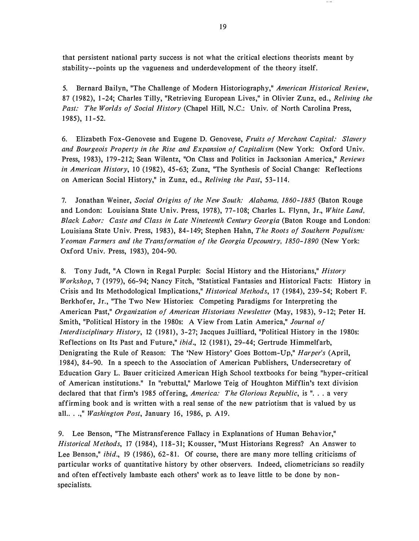that persistent national party success is not what the critical elections theorists meant by stability- -points up the vagueness and underdevelopment of the theory itself.

5. Bernard Bailyn, "The Challenge of Modern Historiography," American Historical Review, 87 (1982), 1-24; Charles Tilly, "Retrieving European Lives," in Olivier Zunz, ed., Reliving the Past: The Worlds of Social History (Chapel Hill, N.C.: Univ. of North Carolina Press, 1 985), 11-52.

6. Elizabeth Fox-Genovese and Eugene D. Genovese, Fruits of Merchant Capital: Slavery and Bourgeois Property in the Rise and Expansion of Capitalism (New York: Oxford Univ. Press, 1983), 179-212; Sean Wilentz, "On Class and Politics in Jacksonian America," Reviews in American History, 10 (1982), 45-63; Zunz, "The Synthesis of Social Change: Reflections on American Social History," in Zunz, ed., Reliving the Past, 53-114.

7. Jonathan Weiner, Social Origins of the New South: Alabama, 1860-1885 (Baton Rouge and London: Louisiana State Univ. Press, 1978), 77-108; Charles L. Flynn, Jr., White Land, Black Labor: Caste and Class in Late Nineteenth Century Georgia (Baton Rouge and London: Louisiana State Univ. Press, 1983), 84-149; Stephen Hahn, The Roots of Southern Populism: Yeoman Farmers and the Transformation of the Georgia Upcountry, 1850-1890 (New York: Oxford Univ. Press, 1983), 204-90.

8. Tony Judt, "A Clown in Regal Purple: Social History and the Historians," History Workshop, 7 (1979), 66-94; Nancy Fitch, "Statistical Fantasies and Historical Facts: History in Crisis and Its Methodological Implications," Historical Methods, 17 (1984), 239-54; Robert F. Berkhofer, Jr., "The Two New Histories: Competing Paradigms for Interpreting the American Past," Organization of American Historians Newsletter (May, 1983), 9-12; Peter H. Smith, "Political History in the 1980s: A View from Latin America," Journal of Interdisciplinary History, 12 (1981), 3-27; Jacques Juilliard, "Political History in the 1980s: Reflections on Its Past and Future," ibid., 12 (1981), 29-44; Gertrude Himmelfarb, Denigrating the Rule of Reason: The 'New History' Goes Bottom-Up," Harper's (April, 1 984), 84-90. In a speech to the Association of American Publishers, Undersecretary of Education Gary L. Bauer criticized American High School textbooks for being "hyper-critical of American institutions." In "rebuttal," Marlowe Teig of Houghton Mifflin's text division declared that that firm's 1985 offering, America: The Glorious Republic, is "... a very affirming book and is written with a real sense of the new patriotism that is valued by us all...," Washington Post, January 16, 1986, p. A19.

9. Lee Benson, "The Mistransference Fallacy in Explanations of Human Behavior," Historical Methods, 17 (1984), 118-31; Kousser, "Must Historians Regress? An Answer to Lee Benson," *ibid.*, 19 (1986), 62-81. Of course, there are many more telling criticisms of particular works of quantitative history by other observers. Indeed, cliometricians so readily and often effectively lambaste each others' work as to leave little to be done by nonspecialists.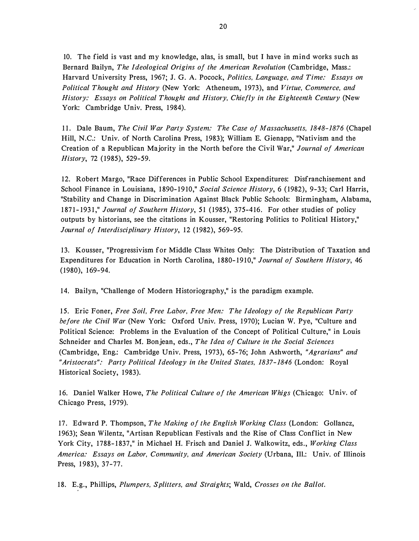10. The field is vast and my knowledge, alas, is small, but I have in mind works such as Bernard Bailyn, The Ideological Origins of the American Revolution (Cambridge, Mass.: Harvard University Press, 1967; J. G. A. Pocock, Politics, Language, and Time: Essays on Political Thought and History (New York: Atheneum, 1973), and Virtue, Commerce, and History: Essays on Political Thought and History, Chiefly in the Eighteenth Century (New York: Cambridge Univ. Press, 1984).

11. Dale Baum, The Civil War Party System: The Case of Massachusetts, 1848-1876 (Chapel Hill, N.C.: Univ. of North Carolina Press, 1 983); William E. Gienapp, "Nativism and the Creation of a Republican Majority in the North before the Civil War," Journal of American History, 72 (1985), 529-59.

12. Robert Margo, "Race Differences in Public School Expenditures: Disfranchisement and School Finance in Louisiana, 1890-1910," Social Science History, 6 (1982), 9-33; Carl Harris, "Stability and Change in Discrimination Against Black Public Schools: Birmingham, Alabama, 1871-1931," Journal of Southern History, 51 (1985), 375-416. For other studies of policy outputs by historians, see the citations in Kousser, "Restoring Politics to Political History," Journal of Interdisciplinary History, 12 (1982), 569-95.

1 3. Kousser, "Progressivism for Middle Class Whites Only: The Distribution of Taxation and Expenditures for Education in North Carolina, 1880-1910," Journal of Southern History, 46  $(1980), 169-94.$ 

14. Bailyn, "Challenge of Modern Historiography," is the paradigm example.

15. Eric Foner, Free Soil, Free Labor, Free Men: The Ideology of the Republican Party before the Civil War (New York: Oxford Univ. Press, 1970); Lucian W. Pye, "Culture and Political Science: Problems in the Evaluation of the Concept of Political Culture," in Louis Schneider and Charles M. Bonjean, eds., The Idea of Culture in the Social Sciences (Cambridge, Eng.: Cambridge Univ. Press, 1973), 65-76; John Ashworth, "Agrarians" and "Aristocrats": Party Political Ideology in the United States, 1837- 1846 (London: Royal Historical Society, 1983).

16. Daniel Walker Howe, The Political Culture of the American Whigs (Chicago: Univ. of Chicago Press, 1979).

17. Edward P. Thompson, The Making of the English Working Class (London: Gollancz, 1 963); Sean Wilentz, "Artisan Republican Festivals and the Rise of Class Conflict in New York City, 1788-1837," in Michael H. Frisch and Daniel J. Walkowitz, eds., Working Class America: Essays on Labor, Community, and American Society (Urbana, Ill.: Univ. of Illinois Press, 1983), 37-77.

18. E.g., Phillips, Plumpers, Splitters, and Straights; Wald, Crosses on the Ballot.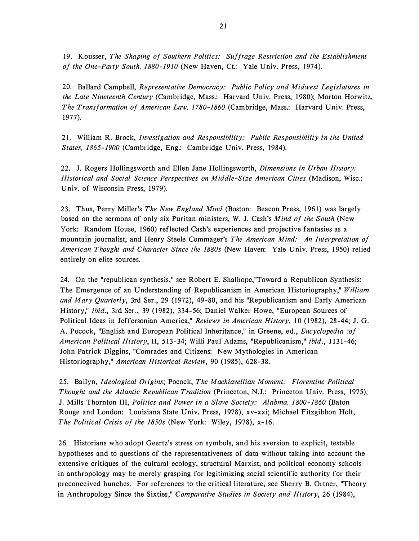19. Kousser, The Shaping of Southern Politics: Suffrage Restriction and the Establishment of the One-Party South, 1880-1910 (New Haven, Ct.: Yale Univ. Press, 1974).

20. Ballard Campbell, Representative Democracy: Public Policy and Midwest Legislatures in the Late Nineteenth Century (Cambridge, Mass.: Harvard Univ. Press, 1 980); Morton Horwitz, The Transformation of American Law, 1780-1860 (Cambridge, Mass.: Harvard Univ. Press, 1 977).

21. William R. Brock, Investigation and Responsibility: Public Responsibility in the United States, 1865-1900 (Cambridge, Eng.: Cambridge Univ. Press, 1984).

22. J. Rogers Hollingsworth and Ellen Jane Hollingsworth, Dimensions in Urban History: Historical and Social Science Perspectives on Middle-Size American Cities (Madison, Wisc.: Univ. of Wisconsin Press, 1979).

23. Thus, Perry Miller's The New England Mind (Boston: Beacon Press, 1961) was largely based on the sermons of only six Puritan ministers, W. J. Cash's Mind of the South (New York: Random House, 1960) reflected Cash's experiences and projective fantasies as a mountain journalist, and Henry Steele Commager's The American Mind: An Interpretation of American Thought and Character Since the 1880s (New Haven: Yale Univ. Press, 1950) relied entirely on elite sources.

24. On the "republican synthesis," see Robert E. Shalhope,"Toward a Republican Synthesis: The Emergence of an Understanding of Republicanism in American Historiography," William and Mary Quarterly, 3rd Ser., 29 (1972), 49-80, and his "Republicanism and Early American History," ibid., 3rd Ser., 39 (1982), 334-56; Daniel Walker Howe, "European Sources of Political Ideas in Jeffersonian America," Reviews in American History, 10 (1982), 28 -44; J. G. A. Pocock, "English and European Political Inheritance," in Greene, ed., Encyclopedia ;of American Political History, II, 513-34; Willi Paul Adams, "Republicanism," ibid., 1131-46; John Patrick Diggins, "Comrades and Citizens: New Mythologies in American Historiography," American Historical Review, 90 (1985), 628-38.

25. Bailyn, Ideological Origins; Pocock, The Machiavellian Moment: Florentine Political Thought and the Atlantic Republican Tradition (Princeton, N.J.: Princeton Univ. Press, 1975); J. Mills Thornton III, Politics and Power in a Slave Society: Alabma, 1800-1860 (Baton Rouge and London: Louisiana State Univ. Press, 1978), xv-xxi; Michael Fitzgibbon Holt, The Political Crisis of the 1850s (New York: Wiley, 1978), x-16.

26. Historians who adopt Geertz's stress on symbols, and his aversion to explicit, testable hypotheses and to questions of the representativeness of data without taking into account the extensive critiques of the cultural ecology, structural Marxist, and political economy schools in anthropology may be merely grasping for legitimizing social scientific authority for their preconceived hunches. For references to the critical literature, see Sherry B. Ortner, "Theory in Anthropology Since the Sixties," Comparative Studies in Society and History, 26 (1984),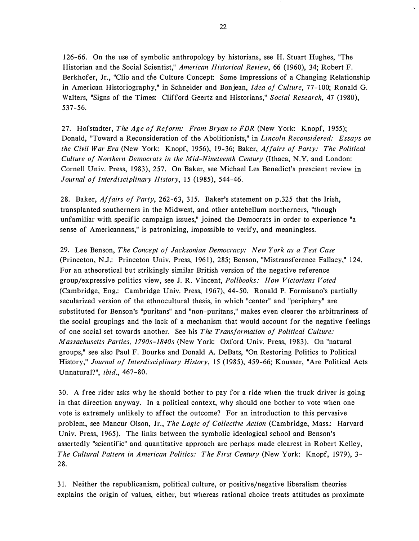1 26-66. On the use of symbolic anthropology by historians, see H. Stuart Hughes, "The Historian and the Social Scientist," American Historical Review, 66 (1960), 34; Robert F. Berkhofer, Jr., "Clio and the Culture Concept: Some Impressions of a Changing Relationship in American Historiography," in Schneider and Bonjean, Idea of Culture, 77-100; Ronald G. Walters, "Signs of the Times: Clifford Geertz and Historians," Social Research, 47 (1980), 537-56.

27. Hofstadter, The Age of Reform: From Bryan to FDR (New York: Knopf, 1955); Donald, "Toward a Reconsideration of the Abolitionists," in *Lincoln Reconsidered: Essays on* the Civil War Era (New York: Knopf, 1956), 19-36; Baker, Affairs of Party: The Political Culture of Northern Democrats in the Mid-Nineteenth Century (Ithaca, N.Y. and London: Cornell Univ. Press, 1 983), 257. On Baker, see Michael Les Benedict's prescient review in Journal of Interdisciplinary History, 15 (1985), 544-46.

28. Baker, Affairs of Party, 262-63, 315. Baker's statement on p.325 that the Irish, transplanted southerners in the Midwest, and other antebellum northerners, "though unfamiliar with specific campaign issues," joined the Democrats in order to experience "a sense of Americanness," is patronizing, impossible to verify, and meaningless.

29. Lee Benson, The Concept of Jacksonian Democracy: New York as a Test Case (Princeton, N.J.: Princeton Univ. Press, 1961), 285; Benson, "Mistransference Fallacy," 124. For an atheoretical but strikingly similar British version of the negative reference group/expressive politics view, see J. R. Vincent, Pollbooks: How Victorians Voted (Cambridge, Eng.: Cambridge Univ. Press, 1 967), 44- 50. Ronald P. Formisano's partially secularized version of the ethnocultural thesis, in which "center" and "periphery" are substituted for Benson's "puritans" and "non-puritans," makes even clearer the arbitrariness of the social groupings and the lack of a mechanism that would account for the negative feelings of one social set towards another. See his The Transformation of Political Culture: Massachusetts Parties, 1790s-1840s (New York: Oxford Univ. Press, 1983). On "natural groups," see also Paul F. Bourke and Donald A. DeBats, "On Restoring Politics to Political History," Journal of Interdisciplinary History, 15 (1985), 459-66; Kousser, "Are Political Acts Unnatural?", ibid., 467-80.

30. A free rider asks why he should bother to pay for a ride when the truck driver is going in that direction anyway. In a political context, why should one bother to vote when one vote is extremely unlikely to affect the outcome? For an introduction to this pervasive problem, see Mancur Olson, Jr., The Logic of Collective Action (Cambridge, Mass.: Harvard Univ. Press, 1965). The links between the symbolic ideological school and Benson's assertedly "scientific" and quantitative approach are perhaps made clearest in Robert Kelley, The Cultural Pattern in American Politics: The First Century (New York: Knopf, 1979), 3-28.

31. Neither the republicanism, political culture, or positive/negative liberalism theories explains the origin of values, either, but whereas rational choice treats attitudes as proximate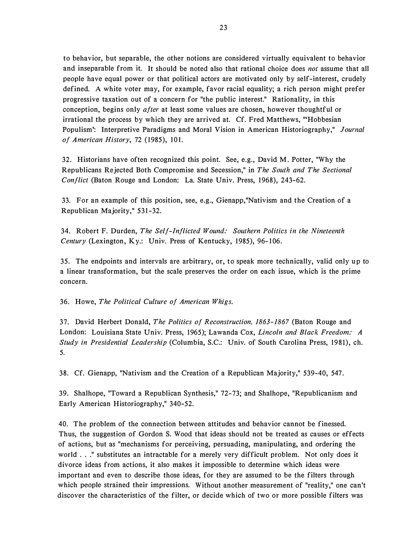to behavior, but separable, the other notions are considered virtually equivalent to behavior and inseparable from it. It should be noted also that rational choice does not assume that all people have equal power or that political actors are motivated only by self-interest, crudely defined. A white voter may, for example, favor racial equality; a rich person might prefer progressive taxation out of a concern for "the public interest." Rationality, in this conception, begins only *after* at least some values are chosen, however thoughtful or irrational the process by which they are arrived at. Cf. Fred Matthews, "'Hobbesian Populism': Interpretive Paradigms and Moral Vision in American Historiography," Journal of American History, 72 (1985), 101.

32. Historians have often recognized this point. See, e.g., David M. Potter, "Why the Republicans Rejected Both Compromise and Secession," in The South and The Sectional Conflict (Baton Rouge and London: La. State Univ. Press, 1968), 243-62.

33. For an example of this position, see, e.g., Gienapp,"Nativism and the Creation of a Republican Majority," 531 -32.

34. Robert F. Durden, The Self-Inflicted Wound: Southern Politics in the Nineteenth Century (Lexington, Ky.: Univ. Press of Kentucky, 1985), 96-106.

35. The endpoints and intervals are arbitrary, or, to speak more technically, valid only up to a linear transformation, but the scale preserves the order on each issue, which is the prime concern.

36. Howe, The Political Culture of American Whigs.

37. David Herbert Donald, The Politics of Reconstruction, 1863-1867 (Baton Rouge and London: Louisiana State Univ. Press, 1965); Lawanda Cox, Lincoln and Black Freedom: A Study in Presidential Leadership (Columbia, S.C.: Univ. of South Carolina Press, 1981), ch. 5.

38. Cf. Gienapp, "Nativism and the Creation of a Republican Majority," 539-40, 547.

39. Shalhope, "Toward a Republican Synthesis," 72-73; and Shalhope, "Republicanism and Early American Historiography," 340-52.

40. The problem of the connection between attitudes and behavior cannot be finessed. Thus, the suggestion of Gordon S. Wood that ideas should not be treated as causes or effects of actions, but as "mechanisms for perceiving, persuading, manipulating, and ordering the world ... " substitutes an intractable for a merely very difficult problem. Not only does it divorce ideas from actions, it also makes it impossible to determine which ideas were important and even to describe those ideas, for they are assumed to be the filters through which people strained their impressions. Without another measurement of "reality," one can't discover the characteristics of the filter, or decide which of two or more possible filters was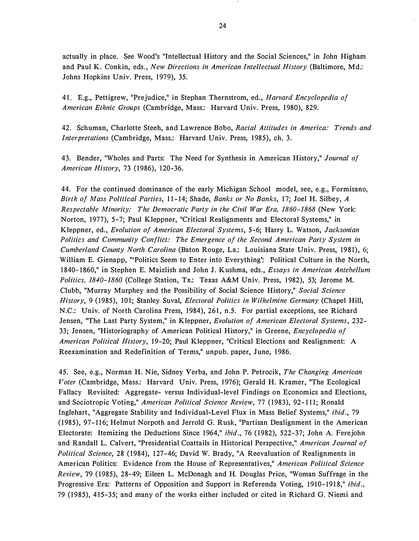actually in place. See Wood's "Intellectual History and the Social Sciences," in John Higham and Paul K. Conkin, eds., New Directions in American Intellectual History (Baltimore, Md.: Johns Hopkins Univ. Press, 1979), 35.

41. E.g., Pettigrew, "Prejudice," in Stephan Thernstrom, ed., Harvard Encyclopedia of American Ethnic Groups (Cambridge, Mass.: Harvard Univ. Press, 1980), 829.

42. Schuman, Charlotte Steeh, and Lawrence Bobo, Racial Attitudes in America: Trends and Interpretations (Cambridge, Mass.: Harvard Univ. Press, 1985), ch. 3.

43. Bender, "Wholes and Parts: The Need for Synthesis in American History," Journal of American History, 73 (1986), 120-36.

44. For the continued dominance of the early Michigan School model, see, e.g., Formisano, Birth of Mass Political Parties, 11-14; Shade, Banks or No Banks, 17; Joel H. Silbey, A Respectable Minority: The Democratic Party in the Civil War Era, 1860-1868 (New York: Norton, 1977), 5-7; Paul Kleppner, "Critical Realignments and Electoral Systems," in Kleppner, ed., Evolution of American Electoral Systems, 5-6; Harry L. Watson, Jacksonian Politics and Community Conflict: The Emergence of the Second American Party System in Cumberland County North Carolina (Baton Rouge, La.: Louisiana State Univ. Press, 1981), 6; William E. Gienapp, "'Politics Seem to Enter into Everything': Political Culture in the North, 1840-1860," in Stephen E. Maizlish and John J. Kushma, eds., Essays in American Antebellum Politics, 1840-1860 (College Station, Tx.: Texas A&M Univ. Press, 1982), 53; Jerome M. Clubb, "Murray Murphey and the Possibility of Social Science History," Social Science History, 9 (1985), 101; Stanley Suval, *Electoral Politics in Wilhelmine Germany* (Chapel Hill, N.C.: Univ. of North Carolina Press, 1984), 261, n.5. For partial exceptions, see Richard Jensen, "The Last Party System," in Kleppner, Evolution of American Electoral Systems, 232-33; Jensen, "Historiography of American Political History," in Greene, *Encyclopedia of* American Political History, 19-20; Paul Kleppner, "Critical Elections and Realignment: A Reexamination and Redefinition of Terms," unpub. paper, June, 1986.

45. See, e.g., Norman H. Nie, Sidney Verba, and John P. Petrocik, The Changing American Voter (Cambridge, Mass.: Harvard Univ. Press, 1 976); Gerald H. Kramer, "The Ecological Fallacy Revisited: Aggregate- versus Individual-level Findings on Economics and Elections, and Sociotropic Voting," American Political Science Review, 77 (1983), 92-111; Ronald lnglehart, "Aggregate Stability and Individual-Level Flux in Mass Belief Systems," ibid., 79 (1985), 97-116; Helmut Norpoth and Jerrold G. Rusk, "Partisan Dealignment in the American Electorate: Itemizing the Deductions Since 1964," *ibid.*, 76 (1982), 522-37; John A. Ferejohn and Randall L. Calvert, "Presidential Coattails in Historical Perspective," American Journal of Political Science, 28 (1984), 127-46; David W. Brady, "A Reevaluation of Realignments in American Politics: Evidence from the House of Representatives," American Political Science Review, 79 (1985), 28-49; Eileen L. McDonagh and H. Douglas Price, "Woman Suffrage in the Progressive Era: Patterns of Opposition and Support in Referenda Voting, 1910-1918," ibid., 79 (1985), 415-35; and many of the works either included or cited in Richard G. Niemi and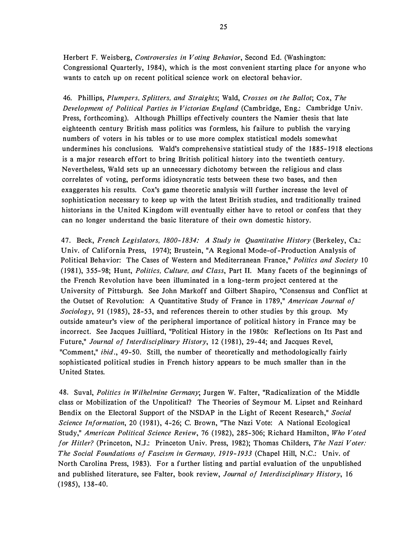Herbert F. Weisberg, Controversies in Voting Behavior, Second Ed. (Washington: Congressional Quarterly, 1984), which is the most convenient starting place for anyone who wants to catch up on recent political science work on electoral behavior.

46. Phillips, Plumpers, Splitters, and Straights; Wald, Crosses on the Ballot; Cox, The Development of Political Parties in Victorian England (Cambridge, Eng.: Cambridge Univ. Press, forthcoming). Although Phillips effectively counters the Namier thesis that late eighteenth century British mass politics was formless, his failure to publish the varying numbers of voters in his tables or to use more complex statistical models somewhat undermines his conclusions. Wald's comprehensive statistical study of the 1885-1918 elections is a major research effort to bring British political history into the twentieth century. Nevertheless, Wald sets up an unnecessary dichotomy between the religious and class correlates of voting, performs idiosyncratic tests between these two bases, and then exaggerates his results. Cox's game theoretic analysis will further increase the level of sophistication necessary to keep up with the latest British studies, and traditionally trained historians in the United Kingdom will eventually either have to retool or confess that they can no longer understand the basic literature of their own domestic history.

47. Beck, French Legislators, 1800-1834: A Study in Quantitative History (Berkeley, Ca.: Univ. of California Press, 1974); Brustein, "A Regional Mode-of-Production Analysis of Political Behavior: The Cases of Western and Mediterranean France," Politics and Society 10 (1981), 3 55-98; Hunt, Politics, Culture, and Class, Part II. Many facets of the beginnings of the French Revolution have been illuminated in a long-term project centered at the University of Pittsburgh. See John Markoff and Gilbert Shapiro, "Consensus and Conflict at the Outset of Revolution: A Quantitative Study of France in 1789," American Journal of Sociology, 91 (1985), 28-53, and references therein to other studies by this group. My outside amateur's view of the peripheral importance of political history in France may be incorrect. See Jacques Juilliard, "Political History in the 1 980s: Reflections on Its Past and Future," Journal of Interdisciplinary History, 12 (1981), 29-44; and Jacques Revel, "Comment," ibid., 49-50. Still, the number of theoretically and methodologically fairly sophisticated political studies in French history appears to be much smaller than in the United States.

48. Suval, Politics in Wilhelmine Germany; Jurgen W. Falter, "Radicalization of the Middle class or Mobilization of the Unpolitical? The Theories of Seymour M. Lipset and Reinhard Bendix on the Electoral Support of the NSDAP in the Light of Recent Research," Social Science Information, 20 (1981), 4-26; C. Brown, "The Nazi Vote: A National Ecological Study," American Political Science Review, 76 (1982), 285-306; Richard Hamilton, Who Voted for Hitler? (Princeton, N.J.: Princeton Univ. Press, 1982); Thomas Childers, The Nazi Voter: The Social Foundations of Fascism in Germany, 1919- 1933 (Chapel Hill, N.C.: Univ. of North Carolina Press, 1983). For a further listing and partial evaluation of the unpublished and published literature, see Falter, book review, Journal of Interdisciplinary History, 16  $(1985), 138-40.$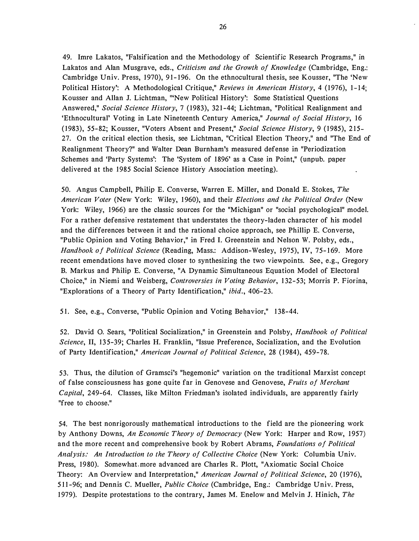49. Imre Lakatos, "Falsification and the Methodology of Scientific Research Programs," in Lakatos and Alan Musgrave, eds., Criticism and the Growth of Knowledge (Cambridge, Eng.: Cambridge Univ. Press, 1970), 91-196. On the ethnocultural thesis, see Kousser, "The 'New Political History: A Methodological Critique," Reviews in American History, 4 (1976), 1-14; Kousser and Allan J. Lichtman, '"New Political History': Some Statistical Questions Answered," Social Science History, 7 (1983), 321-44; Lichtman, "Political Realignment and 'Ethnocultural' Voting in Late Nineteenth Century America," Journal of Social History, 16 (1983), 55-82; Kousser, "Voters Absent and Present," Social Science History, 9 (1985), 215-27. On the critical election thesis, see Lichtman, "Critical Election Theory," and "The End of Realignment Theory?" and Walter Dean Burnham's measured defense in "Periodization Schemes and 'Party Systems': The 'System of 1 896' as a Case in Point," (unpub. paper delivered at the 1985 Social Science History Association meeting).

50. Angus Campbell, Philip E. Converse, Warren E. Miller, and Donald E. Stokes, The American Voter (New York: Wiley, 1960), and their Elections and the Political Order (New York: Wiley, 1966) are the classic sources for the "Michigan" or "social psychological" model. For a rather defensive restatement that understates the theory-laden character of his model and the differences between it and the rational choice approach, see Phillip E. Converse, "Public Opinion and Voting Behavior," in Fred I. Greenstein and Nelson W. Polsby, eds., Handbook of Political Science (Reading, Mass.: Addison-Wesley, 1975), IV, 75-169. More recent emendations have moved closer to synthesizing the two viewpoints. See, e.g., Gregory B. Markus and Philip E. Converse, "A Dynamic Simultaneous Equation Model of Electoral Choice," in Niemi and Weisberg, Controversies in Voting Behavior, 1 32-53; Morris P. Fiorina, "Explorations of a Theory of Party Identification," ibid., 406-23.

51. See, e.g., Converse, "Public Opinion and Voting Behavior," 1 38-44.

52. David 0. Sears, "Political Socialization," in Greenstein and Polsby, Handbook of Political Science, II, 135-39; Charles H. Franklin, "Issue Preference, Socialization, and the Evolution of Party Identification," American Journal of Political Science, 28 (1984), 459-78.

53. Thus, the dilution of Gramsci's "hegemonic" variation on the traditional Marxist concept of false consciousness has gone quite far in Genovese and Genovese, Fruits of Merchant Capital, 249-64. Classes, like Milton Friedman's isolated individuals, are apparently fairly "free to choose."

54. The best nonrigorously mathematical introductions to the field are the pioneering work by Anthony Downs, An Economic Theory of Democracy (New York: Harper and Row, 1957) and the more recent and comprehensive book by Robert Abrams, Foundations of Political Analysis: An Introduction to the Theory of Collective Choice (New York: Columbia Univ. Press, 1980). Somewhat more advanced are Charles R. Plott, "Axiomatic Social Choice Theory: An Overview and Interpretation," American Journal of Political Science, 20 (1976), 511-96; and Dennis C. Mueller, Public Choice (Cambridge, Eng.: Cambridge Univ. Press, 1979). Despite protestations to the contrary, James M. Enelow and Melvin J. Hinich, The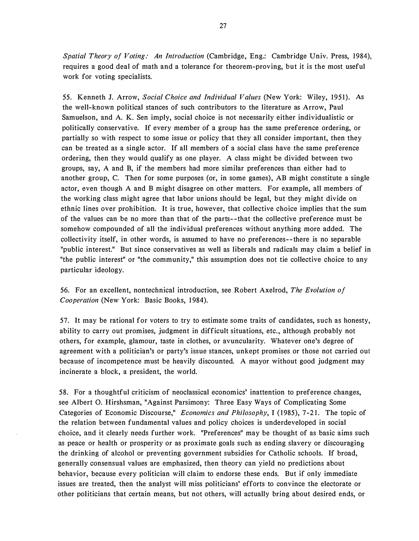Spatial Theory of Voting: An Introduction (Cambridge, Eng.: Cambridge Univ. Press, 1984), requires a good deal of math and a tolerance for theorem-proving, but it is the most useful work for voting specialists.

55. Kenneth J. Arrow, Social Choice and Individual Values (New York: Wiley, 1951). As the well-known political stances of such contributors to the literature as Arrow, Paul Samuelson, and A. K. Sen imply, social choice is not necessarily either individualistic or politically conservative. If every member of a group has the same preference ordering, or partially so with respect to some issue or policy that they all consider important, then they can be treated as a single actor. If all members of a social class have the same preference ordering, then they would qualify as one player. A class might be divided between two groups, say, A and B, if the members had more similar preferences than either had to another group, C. Then for some purposes (or, in some games), AB might constitute a single actor, even though A and B might disagree on other matters. For example, all members of the working class might agree that labor unions should be legal, but they might divide on ethnic lines over prohibition. It is true, however, that collective choice implies that the sum of the values can be no more than that of the parts--that the collective preference must be somehow compounded of all the individual preferences without anything more added. The collectivity itself, in other words, is assumed to have no preferences--there is no separable "public interest." But since conservatives as well as liberals and radicals may claim a belief in "the public interest" or "the community," this assumption does not tie collective choice to any particular ideology.

56. For an excellent, nontechnical introduction, see Robert Axelrod, The Evolution of Cooperation (New York: Basic Books, 1984).

57. It may be rational for voters to try to estimate some traits of candidates, such as honesty, ability to carry out promises, judgment in difficult situations, etc., although probably not others, for example, glamour, taste in clothes, or avuncularity. Whatever one's degree of agreement with a politician's or party's issue stances, unkept promises or those not carried out because of incompetence must be heavily discounted. A mayor without good judgment may incinerate a block, a president, the world.

58. For a thoughtful criticism of neoclassical economics' inattention to preference changes, see Albert 0. Hirshsman, "Against Parsimony: Three Easy Ways of Complicating Some Categories of Economic Discourse," Economics and Philosophy, I (1985), 7-21. The topic of the relation between fundamental values and policy choices is underdeveloped in social choice, and it clearly needs further work. "Preferences" may be thought of as basic aims such as peace or health or prosperity or as proximate goals such as ending slavery or discouraging the drinking of alcohol or preventing government subsidies for Catholic schools. If broad, generally consensual values are emphasized, then theory can yield no predictions about behavior, because every politician will claim to endorse these ends. But if only immediate issues are treated, then the analyst will miss politicians' efforts to convince the electorate or other politicians that certain means, but not others, will actually bring about desired ends, or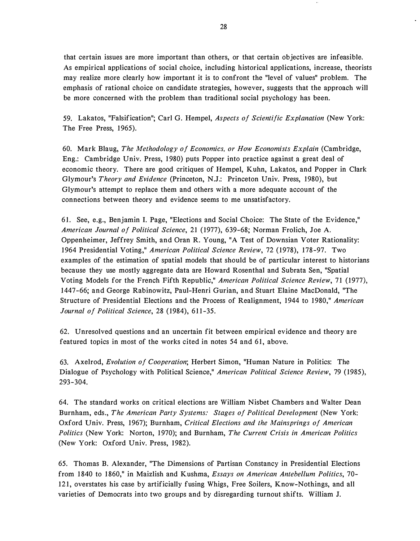that certain issues are more important than others, or that certain objectives are infeasible. As empirical applications of social choice, including historical applications, increase, theorists may realize more clearly how important it is to confront the "level of values" problem. The emphasis of rational choice on candidate strategies, however, suggests that the approach will be more concerned with the problem than traditional social psychology has been.

59. Lakatos, "Falsification"; Carl G. Hempel, Aspects of Scientific Explanation (New York: The Free Press, 1965).

60. Mark Blaug, The Methodology of Economics, or How Economists Explain (Cambridge, Eng.: Cambridge Univ. Press, 1 980) puts Popper into practice against a great deal of economic theory. There are good critiques of Hempel, Kuhn, Lakatos, and Popper in Clark Glymour's Theory and Evidence (Princeton, N.J.: Princeton Univ. Press, 1980), but Glymour's attempt to replace them and others with a more adequate account of the connections between theory and evidence seems to me unsatisfactory.

61. See, e.g., Benjamin I. Page, "Elections and Social Choice: The State of the Evidence," American Journal of Political Science, 21 (1977), 639-68; Norman Frolich, Joe A. Oppenheimer, Jeffrey Smith, and Oran R. Young, "A Test of Downsian Voter Rationality: 1964 Presidential Voting," American Political Science Review, 72 (1978), 178-97. Two examples of the estimation of spatial models that should be of particular interest to historians because they use mostly aggregate data are Howard Rosenthal and Subrata Sen, "Spatial Voting Models for the French Fifth Republic," American Political Science Review, 71 (1977), 1 447-66; and George Rabinowitz, Paul-Henri Gurian, and Stuart Elaine MacDonald, "The Structure of Presidential Elections and the Process of Realignment, 1944 to 1980," American Journal of Political Science, 28 (1984), 611-35.

62. Unresolved questions and an uncertain fit between empirical evidence and theory are featured topics in most of the works cited in notes 54 and 61, above.

63. Axelrod, Evolution of Cooperation; Herbert Simon, "Human Nature in Politics: The Dialogue of Psychology with Political Science," American Political Science Review, 79 (1985), 293 - 304.

64. The standard works on critical elections are William Nisbet Chambers and Walter Dean Burnham, eds., The American Party Systems: Stages of Political Development (New York: Oxford Univ. Press, 1967); Burnham, Critical Elections and the Mainsprings of American Politics (New York: Norton, 1970); and Burnham, The Current Crisis in American Politics (New York: Oxford Univ. Press, 1982).

65. Thomas B. Alexander, "The Dimensions of Partisan Constancy in Presidential Elections from 1840 to 1860," in Maizlish and Kushma, *Essays on American Antebellum Politics*, 70-121, overstates his case by artificially fusing Whigs, Free Soilers, Know-Nothings, and all varieties of Democrats into two groups and by disregarding turnout shifts. William J.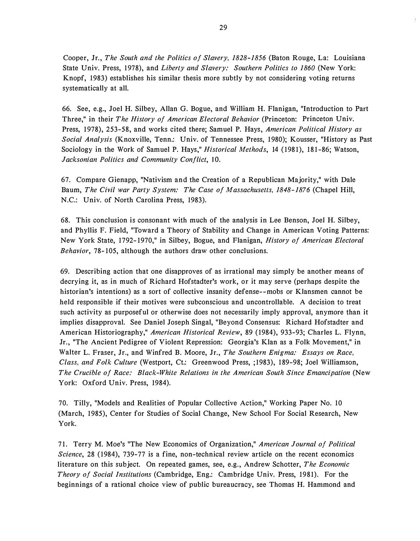Cooper, Jr., The South and the Politics of Slavery, 1828-1856 (Baton Rouge, La: Louisiana State Univ. Press, 1978), and Liberty and Slavery: Southern Politics to 1860 (New York: Knopf, 1983) establishes his similar thesis more subtly by not considering voting returns systematically at all.

66. See, e.g., Joel H. Silbey, Allan G. Bogue, and William H. Flanigan, "Introduction to Part Three," in their The History of American Electoral Behavior (Princeton: Princeton Univ. Press, 1978), 253-58, and works cited there; Samuel P. Hays, American Political History as Social Analysis (Knoxville, Tenn.: Univ. of Tennessee Press, 1980); Kousser, "History as Past Sociology in the Work of Samuel P. Hays," *Historical Methods*, 14 (1981), 181-86; Watson, Jacksonian Politics and Community Conflict, 10.

67. Compare Gienapp, "Nativism and the Creation of a Republican Majority," with Dale Baum, The Civil war Party System: The Case of Massachusetts, 1848- 1876 (Chapel Hill, N.C.: Univ. of North Carolina Press, 1983).

68. This conclusion is consonant with much of the analysis in Lee Benson, Joel H. Silbey, and Phyllis F. Field, "Toward a Theory of Stability and Change in American Voting Patterns: New York State, 1792-1970," in Silbey, Bogue, and Flanigan, *History of American Electoral* Behavior, 78-105, although the authors draw other conclusions.

69. Describing action that one disapproves of as irrational may simply be another means of decrying it, as in much of Richard Hofstadter's work, or it may serve (perhaps despite the historian's intentions) as a sort of collective insanity defense--mobs or Klansmen cannot be held responsible if their motives were subconscious and uncontrollable. A decision to treat such activity as purposeful or otherwise does not necessarily imply approval, anymore than it implies disapproval. See Daniel Joseph Singal, "Beyond Consensus: Richard Hofstadter and American Historiography," American Historical Review, 89 (1984), 933-93; Charles L. Flynn, Jr., "The Ancient Pedigree of Violent Repression: Georgia's Klan as a Folk Movement," in Walter L. Fraser, Jr., and Winfred B. Moore, Jr., The Southern Enigma: Essays on Race, Class, and Folk Culture (Westport, Ct.: Greenwood Press, ;1983), 189-98; Joel Williamson, The Crucible of Race: Black-White Relations in the American South Since Emancipation (New York: Oxford Univ. Press, 1984).

70. Tilly, "Models and Realities of Popular Collective Action," Working Paper No. 10 (March, 1985), Center for Studies of Social Change, New School For Social Research, New York.

71. Terry M. Moe's "The New Economics of Organization," American Journal of Political Science, 28 (1984), 739-77 is a fine, non-technical review article on the recent economics literature on this subject. On repeated games, see, e.g., Andrew Schotter, The Economic Theory of Social Institutions (Cambridge, Eng.: Cambridge Univ. Press, 1981). For the beginnings of a rational choice view of public bureaucracy, see Thomas H. Hammond and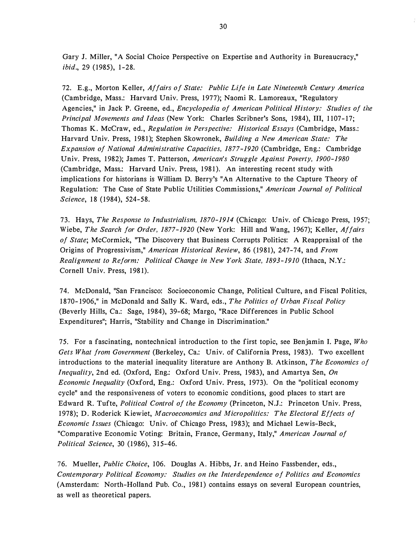Gary J. Miller, "A Social Choice Perspective on Expertise and Authority in Bureaucracy," *ibid.*, 29 (1985), 1-28.

72. E.g., Morton Keller, Affairs of State: Public Life in Late Nineteenth Century America (Cambridge, Mass.: Harvard Univ. Press, 1977); Naomi R. Lamoreaux, "Regulatory Agencies," in Jack P. Greene, ed., Encyclopedia of American Political History: Studies of the Principal Movements and Ideas (New York: Charles Scribner's Sons, 1984), III, 1107-17; Thomas K. McCraw, ed., Regulation in Perspective: Historical Essays (Cambridge, Mass.: Harvard Univ. Press, 1981); Stephen Skowronek, Building a New American State: The Expansion of National Administrative Capacities, 1877-1920 (Cambridge, Eng.: Cambridge Univ. Press, 1982); James T. Patterson, American's Struggle Against Poverty, 1900-1980 (Cambridge, Mass.: Harvard Univ. Press, 1981). An interesting recent study with implications for historians is William D. Berry's "An Alternative to the Capture Theory of Regulation: The Case of State Public Utilities Commissions," American Journal of Political Science, 18 (1984), 524-58.

73. Hays, The Response to Industrialism, 1870-1914 (Chicago: Univ. of Chicago Press, 1957; Wiebe, The Search for Order, 1877-1920 (New York: Hill and Wang, 1967); Keller, Affairs of State; McCormick, "The Discovery that Business Corrupts Politics: A Reappraisal of the Origins of Progressivism," American Historical Review, 86 (1981), 247-74, and From Realignment to Reform: Political Change in New York State, 1893- 1910 (Ithaca, N.Y.: Cornell Univ. Press, 1981).

74. McDonald, "San Francisco: Socioeconomic Change, Political Culture, and Fiscal Politics, 1870-1906," in McDonald and Sally K. Ward, eds., The Politics of Urban Fiscal Policy (Beverly Hills, Ca.: Sage, 1 984), 39-68; Margo, "Race Differences in Public School Expenditures"; Harris, "Stability and Change in Discrimination."

75. For a fascinating, nontechnical introduction to the first topic, see Benjamin I. Page, Who Gets What from Government (Berkeley, Ca.: Univ. of California Press, 1983). Two excellent introductions to the material inequality literature are Anthony B. Atkinson, The Economics of *Inequality*, 2nd ed. (Oxford, Eng.: Oxford Univ. Press, 1983), and Amartya Sen, On Economic Inequality (Oxford, Eng.: Oxford Univ. Press, 1973). On the "political economy cycle" and the responsiveness of voters to economic conditions, good places to start are Edward R. Tufte, Political Control of the Economy (Princeton, N.J.: Princeton Univ. Press, 1978); D. Roderick Kiewiet, Macroeconomics and Micropolitics: The Electoral Effects of Economic Issues (Chicago: Univ. of Chicago Press, 1983); and Michael Lewis-Beck, "Comparative Economic Voting: Britain, France, Germany, Italy," American Journal of Political Science, 30 (1986), 315-46.

76. Mueller, Public Choice, 106. Douglas A. Hibbs, Jr. and Heino Fassbender, eds., Contemporary Political Economy: Studies on the Interdependence of Politics and Economics (Amsterdam: North-Holland Pub. Co., 1981) contains essays on several European countries, as well as theoretical papers.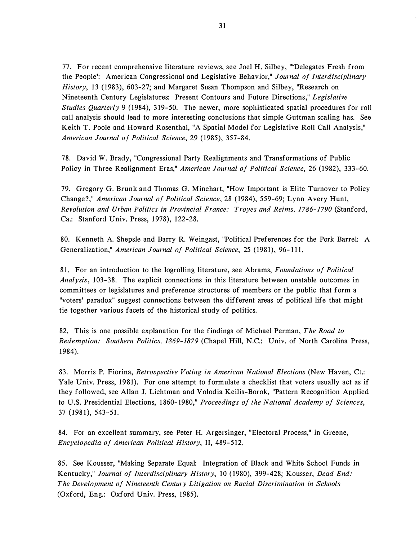77. For recent comprehensive literature reviews, see Joel H. Silbey, "'Delegates Fresh from the People': American Congressional and Legislative Behavior," Journal of Interdisciplinary History, 13 (1983), 603-27; and Margaret Susan Thompson and Silbey, "Research on Nineteenth Century Legislatures: Present Contours and Future Directions," Legislative Studies Quarterly 9 (1984), 319-50. The newer, more sophisticated spatial procedures for roll call analysis should lead to more interesting conclusions that simple Guttman scaling has. See Keith T. Poole and Howard Rosenthal, "A Spatial Model for Legislative Roll Call Analysis," American Journal of Political Science, 29 (1985), 357-84.

78. David W. Brady, "Congressional Party Realignments and Transformations of Public Policy in Three Realignment Eras," American Journal of Political Science, 26 (1982), 333-60.

79. Gregory G. Brunk and Thomas G. Minehart, "How Important is Elite Turnover to Policy Change?," American Journal of Political Science, 28 ( 1984), 559-69; Lynn Avery Hunt, Revolution and Urban Politics in Provincial France: Troyes and Reims, 1786-1790 (Stanford, Ca.: Stanford Univ. Press, 1978), 122-28.

80. Kenneth A. Shepsle and Barry R. Weingast, "Political Preferences for the Pork Barrel: A Generalization," American Journal of Political Science, 25 (1981), 96-111.

81. For an introduction to the logrolling literature, see Abrams, Foundations of Political Analysis, 103-38. The explicit connections in this literature between unstable outcomes in committees or legislatures and preference structures of members or the public that form a "voters' paradox" suggest connections between the different areas of political life that might tie together various facets of the historical study of politics.

82. This is one possible explanation for the findings of Michael Perman, The Road to Redemption: Southern Politics, 1869-1879 (Chapel Hill, N.C.: Univ. of North Carolina Press, 1 984).

83. Morris P. Fiorina, Retrospective Voting in American National Elections (New Haven, Ct.: Yale Univ. Press, 1981). For one attempt to formulate a checklist that voters usually act as if they followed, see Allan J. Lichtman and Volodia Keilis-Borok, "Pattern Recognition Applied to U.S. Presidential Elections, 1860-1980," Proceedings of the National Academy of Sciences, 37 (1981), 543-51 .

84. For an excellent summary, see Peter H. Argersinger, "Electoral Process," in Greene, Encyclopedia of American Political History, II, 489-512.

85. See Kousser, "Making Separate Equal: Integration of Black and White School Funds in Kentucky," Journal of Interdisciplinary History, 10 (1980), 399-428; Kousser, Dead End: The Development of Nineteenth Century Litigation on Racial Discrimination in Schools (Oxford, Eng.: Oxford Univ. Press, 1985).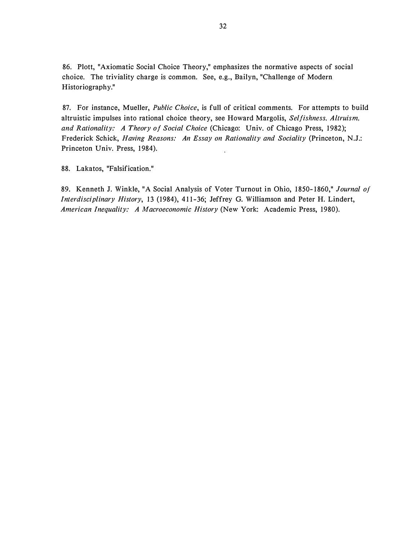86. Plott, "Axiomatic Social Choice Theory," emphasizes the normative aspects of social choice. The triviality charge is common. See, e.g., Bailyn, "Challenge of Modern Historiography."

87. For instance, Mueller, Public Choice, is full of critical comments. For attempts to build altruistic impulses into rational choice theory, see Howard Margolis, Selfishness, Altruism, and Rationality: A Theory of Social Choice (Chicago: Univ. of Chicago Press, 1982); Frederick Schick, Having Reasons: An Essay on Rationality and Sociality (Princeton, N.J.: Princeton Univ. Press, 1984).

88. Lakatos, "Falsification."

89. Kenneth J. Winkle, "A Social Analysis of Voter Turnout in Ohio, 1850-1860," Journal of Interdisciplinary History, 13 (1984), 411-36; Jeffrey G. Williamson and Peter H. Lindert, American Inequality: A Macroeconomic History (New York: Academic Press, 1980).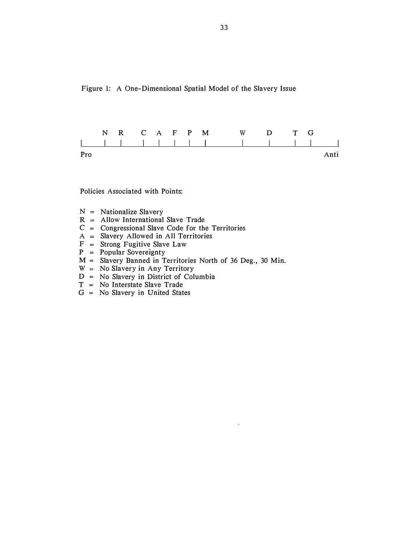Figure 1: A One-Dimensional Spatial Model of the Slavery Issue



Policies Associated with Points:

- $N =$  Nationalize Slavery
- $R$  = Allow International Slave Trade
- $C = Congressional$  Slave Code for the Territories
- $A =$  Slavery Allowed in All Territories
- $F =$  Strong Fugitive Slave Law
- $P = Popular Sovereighty$
- $M =$  Slavery Banned in Territories North of 36 Deg., 30 Min.
- $W = No Slavery in Any Territory$
- $D = No$  Slavery in District of Columbia
- $T = No$  Interstate Slave Trade
- $G = No$  Slavery in United States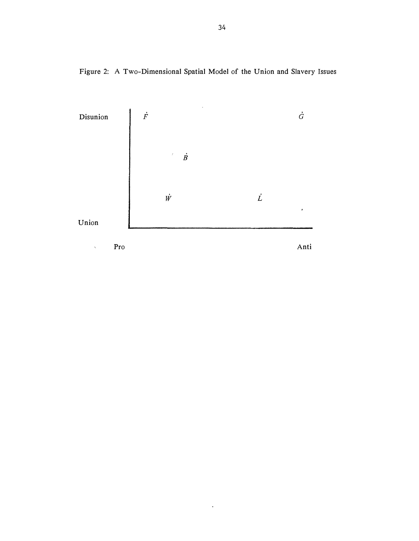Figure 2: A Two-Dimensional Spatial Model of the Union and Slavery Issues



 $\hat{\mathcal{A}}$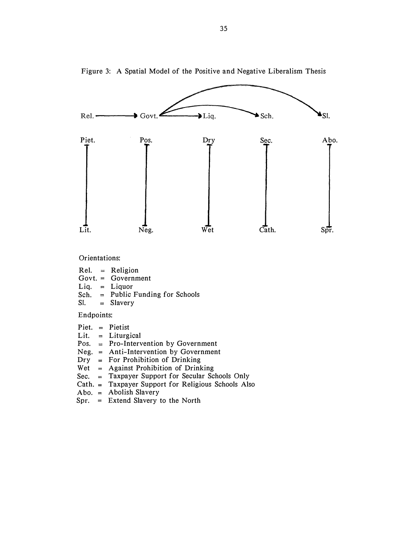

Figure 3: A Spatial Model of the Positive and Negative Liberalism Thesis

Orientations:

Rel. Religion Govt. <sup>=</sup> Government Liq. Liquor Sch. Public Funding for Schools  $SI. = Slavery$ 

Endpoints:

Piet. Pietist

Lit. Liturgical

- Pos. = Pro-Intervention by Government
- Neg. <sup>=</sup>Anti-Intervention by Government
- Dry For Prohibition of Drinking
- Wet Against Prohibition of Drinking
- Sec. Taxpayer Support for Secular Schools Only
- Ca th. Taxpayer Support for Religious Schools Also
- Abo. Abolish Slavery
- Spr. <sup>=</sup>Extend Slavery to the North